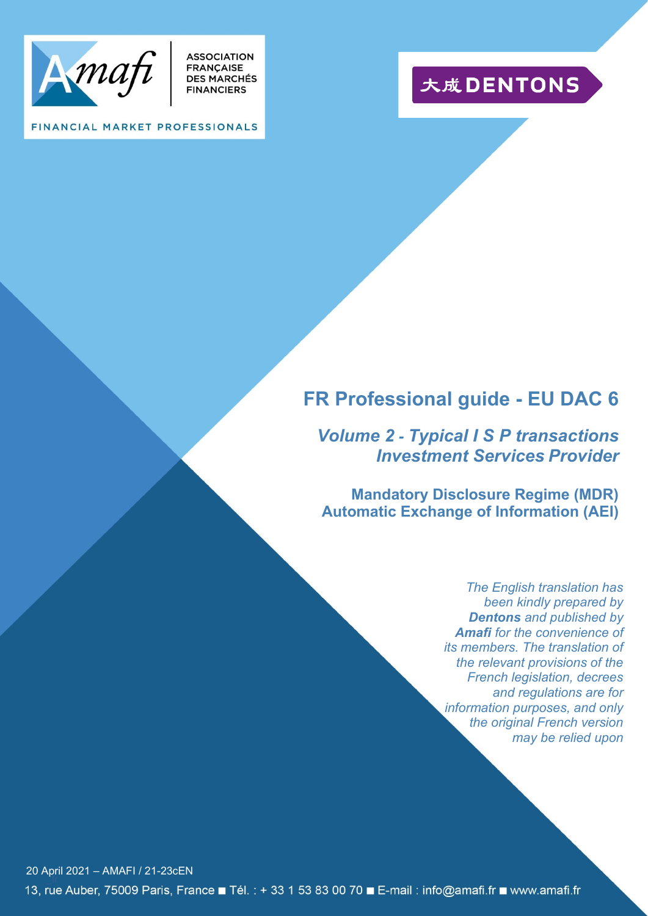

**ASSOCIATION** FRANÇAISE<br>DES MARCHÉS **FINANCIERS** 

# 大成DENTONS

#### FINANCIAL MARKET PROFESSIONALS

## **FR Professional guide - EU DAC 6**

*Volume 2 - Typical I S P transactions Investment Services Provider*

**Mandatory Disclosure Regime (MDR) Automatic Exchange of Information (AEI)**

> *The English translation has been kindly prepared by Dentons and published by Amafi for the convenience of its members. The translation of the relevant provisions of the French legislation, decrees and regulations are for information purposes, and only the original French version may be relied upon*

\_fr 20 April 2021 – AMAFI / 21-23cEN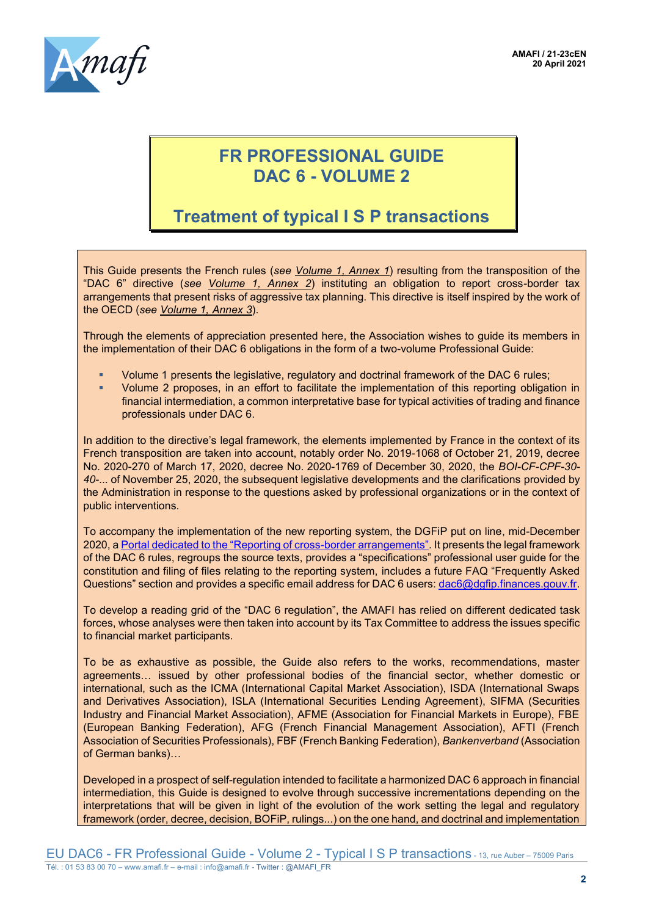

### **FR PROFESSIONAL GUIDE DAC 6 - VOLUME 2**

# **Treatment of typical I S P transactions**

This Guide presents the French rules (*see Volume 1, Annex 1*) resulting from the transposition of the "DAC 6" directive (*see Volume 1, Annex 2*) instituting an obligation to report cross-border tax arrangements that present risks of aggressive tax planning. This directive is itself inspired by the work of the OECD (*see Volume 1, Annex 3*).

Through the elements of appreciation presented here, the Association wishes to guide its members in the implementation of their DAC 6 obligations in the form of a two-volume Professional Guide:

- **•** Volume 1 presents the legislative, regulatory and doctrinal framework of the DAC 6 rules;
- Volume 2 proposes, in an effort to facilitate the implementation of this reporting obligation in financial intermediation, a common interpretative base for typical activities of trading and finance professionals under DAC 6.

In addition to the directive's legal framework, the elements implemented by France in the context of its French transposition are taken into account, notably order No. 2019-1068 of October 21, 2019, decree No. 2020-270 of March 17, 2020, decree No. 2020-1769 of December 30, 2020, the *BOI-CF-CPF-30- 40-*... of November 25, 2020, the subsequent legislative developments and the clarifications provided by the Administration in response to the questions asked by professional organizations or in the context of public interventions.

To accompany the implementation of the new reporting system, the DGFiP put on line, mid-December 2020, a [Portal dedicated to the "Reporting of cross](https://www.impots.gouv.fr/portail/declaration-des-dispositifs-transfrontieres)-border arrangements". It presents the legal framework of the DAC 6 rules, regroups the source texts, provides a "specifications" professional user guide for the constitution and filing of files relating to the reporting system, includes a future FAQ "Frequently Asked Questions" section and provides a specific email address for DAC 6 users: [dac6@dgfip.finances.gouv.fr.](mailto:dac6@dgfip.finances.gouv.fr)

To develop a reading grid of the "DAC 6 regulation", the AMAFI has relied on different dedicated task forces, whose analyses were then taken into account by its Tax Committee to address the issues specific to financial market participants.

To be as exhaustive as possible, the Guide also refers to the works, recommendations, master agreements… issued by other professional bodies of the financial sector, whether domestic or international, such as the ICMA (International Capital Market Association), ISDA (International Swaps and Derivatives Association), ISLA (International Securities Lending Agreement), SIFMA (Securities Industry and Financial Market Association), AFME (Association for Financial Markets in Europe), FBE (European Banking Federation), AFG (French Financial Management Association), AFTI (French Association of Securities Professionals), FBF (French Banking Federation), *Bankenverband* (Association of German banks)…

Developed in a prospect of self-regulation intended to facilitate a harmonized DAC 6 approach in financial intermediation, this Guide is designed to evolve through successive incrementations depending on the interpretations that will be given in light of the evolution of the work setting the legal and regulatory framework (order, decree, decision, BOFiP, rulings...) on the one hand, and doctrinal and implementation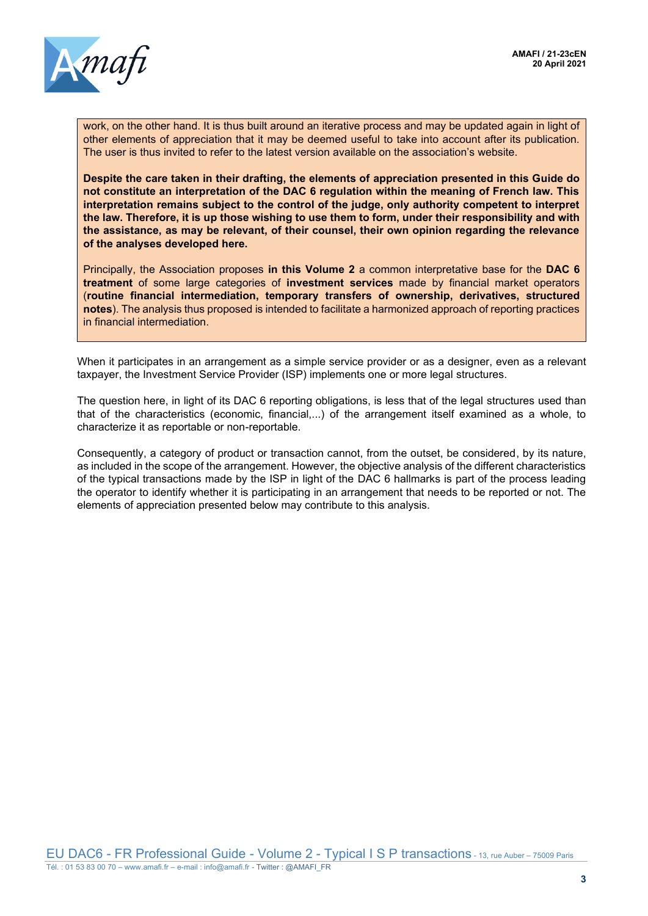

work, on the other hand. It is thus built around an iterative process and may be updated again in light of other elements of appreciation that it may be deemed useful to take into account after its publication. The user is thus invited to refer to the latest version available on the association's website.

**Despite the care taken in their drafting, the elements of appreciation presented in this Guide do not constitute an interpretation of the DAC 6 regulation within the meaning of French law. This interpretation remains subject to the control of the judge, only authority competent to interpret the law. Therefore, it is up those wishing to use them to form, under their responsibility and with the assistance, as may be relevant, of their counsel, their own opinion regarding the relevance of the analyses developed here.**

Principally, the Association proposes **in this Volume 2** a common interpretative base for the **DAC 6 treatment** of some large categories of **investment services** made by financial market operators (**routine financial intermediation, temporary transfers of ownership, derivatives, structured notes**). The analysis thus proposed is intended to facilitate a harmonized approach of reporting practices in financial intermediation.

When it participates in an arrangement as a simple service provider or as a designer, even as a relevant taxpayer, the Investment Service Provider (ISP) implements one or more legal structures.

The question here, in light of its DAC 6 reporting obligations, is less that of the legal structures used than that of the characteristics (economic, financial,...) of the arrangement itself examined as a whole, to characterize it as reportable or non-reportable.

Consequently, a category of product or transaction cannot, from the outset, be considered, by its nature, as included in the scope of the arrangement. However, the objective analysis of the different characteristics of the typical transactions made by the ISP in light of the DAC 6 hallmarks is part of the process leading the operator to identify whether it is participating in an arrangement that needs to be reported or not. The elements of appreciation presented below may contribute to this analysis.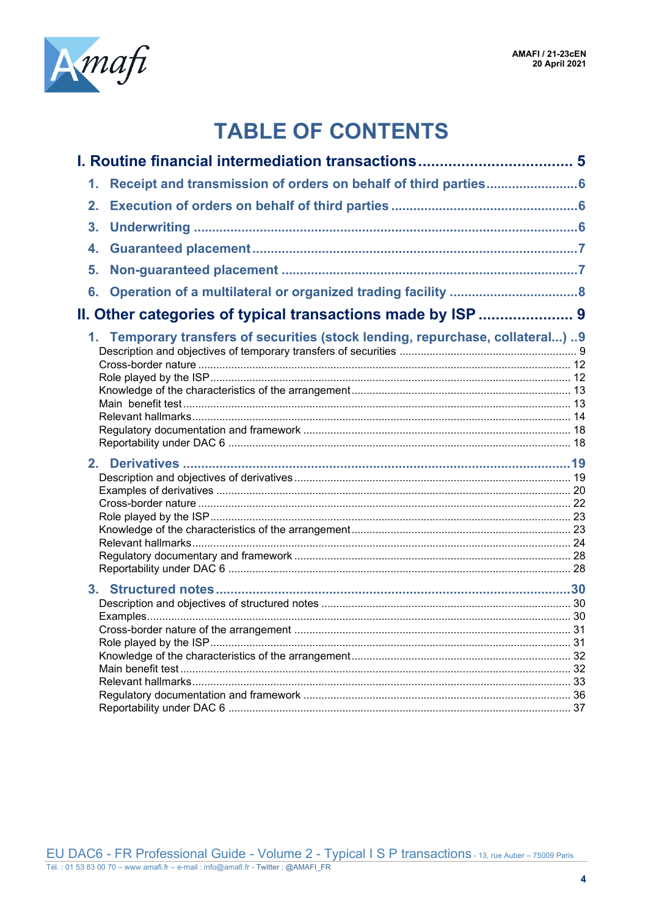

# **TABLE OF CONTENTS**

|                                                                                                                                                           |                | 1. Receipt and transmission of orders on behalf of third parties6 |  |
|-----------------------------------------------------------------------------------------------------------------------------------------------------------|----------------|-------------------------------------------------------------------|--|
|                                                                                                                                                           | 2.             |                                                                   |  |
|                                                                                                                                                           | 3 <sub>1</sub> |                                                                   |  |
|                                                                                                                                                           |                |                                                                   |  |
|                                                                                                                                                           |                |                                                                   |  |
|                                                                                                                                                           |                |                                                                   |  |
|                                                                                                                                                           |                |                                                                   |  |
|                                                                                                                                                           |                |                                                                   |  |
|                                                                                                                                                           |                |                                                                   |  |
|                                                                                                                                                           |                |                                                                   |  |
|                                                                                                                                                           |                |                                                                   |  |
|                                                                                                                                                           |                |                                                                   |  |
|                                                                                                                                                           |                |                                                                   |  |
|                                                                                                                                                           |                |                                                                   |  |
|                                                                                                                                                           |                |                                                                   |  |
|                                                                                                                                                           |                |                                                                   |  |
|                                                                                                                                                           |                |                                                                   |  |
|                                                                                                                                                           |                |                                                                   |  |
|                                                                                                                                                           |                |                                                                   |  |
|                                                                                                                                                           |                |                                                                   |  |
|                                                                                                                                                           |                |                                                                   |  |
| 4.<br>5.<br>II. Other categories of typical transactions made by ISP  9<br>1. Temporary transfers of securities (stock lending, repurchase, collateral) 9 |                |                                                                   |  |
|                                                                                                                                                           |                |                                                                   |  |
|                                                                                                                                                           |                |                                                                   |  |
|                                                                                                                                                           |                |                                                                   |  |
|                                                                                                                                                           |                |                                                                   |  |
|                                                                                                                                                           |                |                                                                   |  |
|                                                                                                                                                           |                |                                                                   |  |
|                                                                                                                                                           |                |                                                                   |  |
|                                                                                                                                                           |                |                                                                   |  |
|                                                                                                                                                           |                |                                                                   |  |
|                                                                                                                                                           |                |                                                                   |  |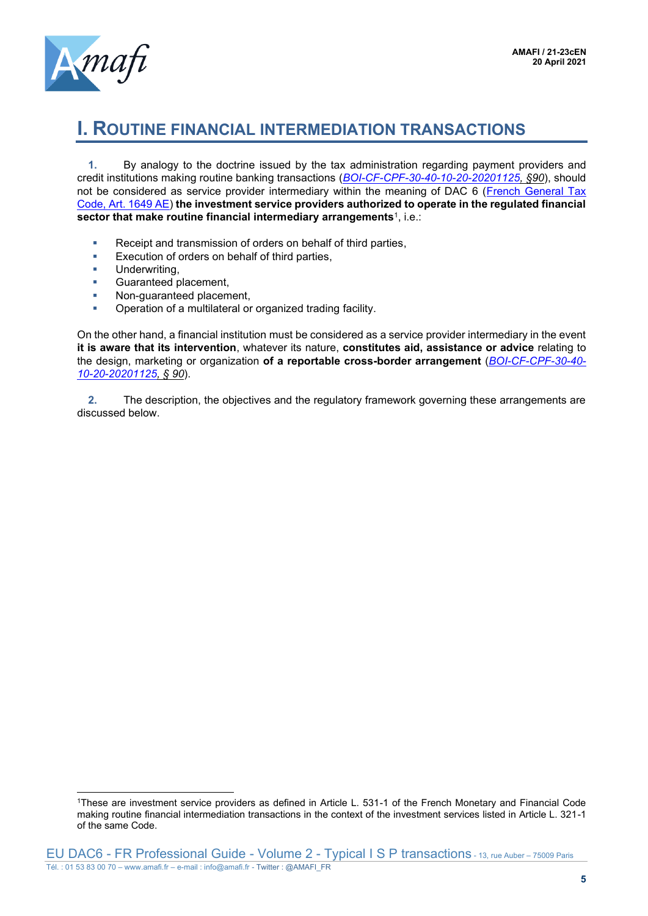

## <span id="page-4-0"></span>**I. ROUTINE FINANCIAL INTERMEDIATION TRANSACTIONS**

**1.** By analogy to the doctrine issued by the tax administration regarding payment providers and credit institutions making routine banking transactions (*[BOI-CF-CPF-30-40-10-20-20201125,](https://bofip.impots.gouv.fr/bofip/12275-PGP.html/identifiant=BOI-CF-CPF-30-40-10-20-20201125) §90*), should not be considered as service provider intermediary within the meaning of DAC 6 [\(French General Tax](https://www.legifrance.gouv.fr/codes/article_lc/LEGIARTI000039249806/2020-07-01)  [Code, Art. 1649 AE\)](https://www.legifrance.gouv.fr/codes/article_lc/LEGIARTI000039249806/2020-07-01) **the investment service providers authorized to operate in the regulated financial sector that make routine financial intermediary arrangements**<sup>1</sup> , i.e.:

- Receipt and transmission of orders on behalf of third parties,
- **Execution of orders on behalf of third parties,**
- Underwriting,
- **■** Guaranteed placement,
- Non-quaranteed placement,
- Operation of a multilateral or organized trading facility.

On the other hand, a financial institution must be considered as a service provider intermediary in the event **it is aware that its intervention**, whatever its nature, **constitutes aid, assistance or advice** relating to the design, marketing or organization **of a reportable cross-border arrangement** (*[BOI-CF-CPF-30-40-](https://bofip.impots.gouv.fr/bofip/12275-PGP.html/identifiant=BOI-CF-CPF-30-40-10-20-20201125) [10-20-20201125,](https://bofip.impots.gouv.fr/bofip/12275-PGP.html/identifiant=BOI-CF-CPF-30-40-10-20-20201125) § 90*).

**2.** The description, the objectives and the regulatory framework governing these arrangements are discussed below.

<sup>1</sup>These are investment service providers as defined in Article L. 531-1 of the French Monetary and Financial Code making routine financial intermediation transactions in the context of the investment services listed in Article L. 321-1 of the same Code.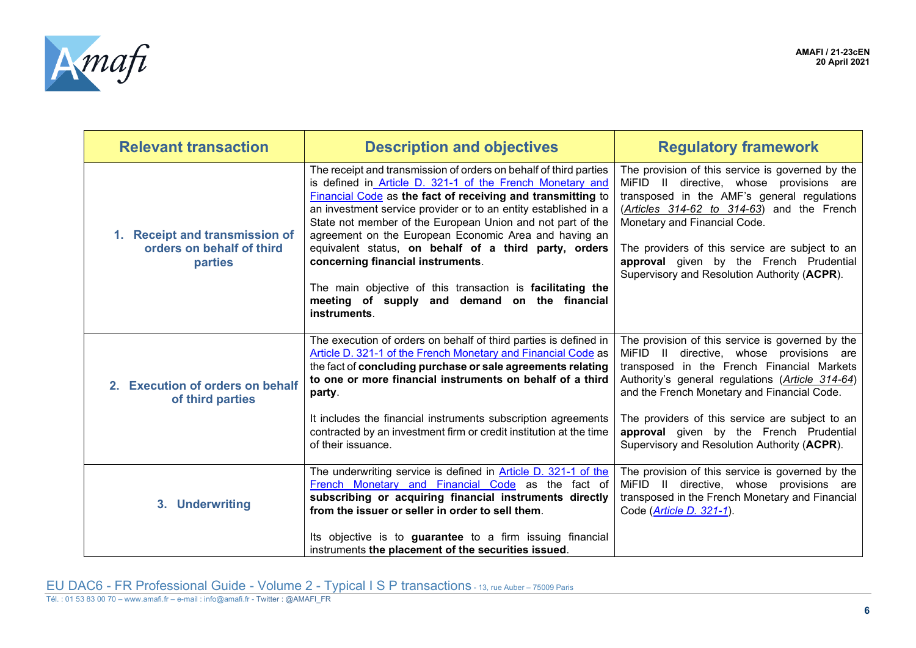

<span id="page-5-2"></span><span id="page-5-1"></span><span id="page-5-0"></span>

| <b>Relevant transaction</b>                                            | <b>Description and objectives</b>                                                                                                                                                                                                                                                                                                                                                                                                                                                                                                                                                                                    | <b>Regulatory framework</b>                                                                                                                                                                                                                                                                                                                                                                 |
|------------------------------------------------------------------------|----------------------------------------------------------------------------------------------------------------------------------------------------------------------------------------------------------------------------------------------------------------------------------------------------------------------------------------------------------------------------------------------------------------------------------------------------------------------------------------------------------------------------------------------------------------------------------------------------------------------|---------------------------------------------------------------------------------------------------------------------------------------------------------------------------------------------------------------------------------------------------------------------------------------------------------------------------------------------------------------------------------------------|
| 1. Receipt and transmission of<br>orders on behalf of third<br>parties | The receipt and transmission of orders on behalf of third parties<br>is defined in Article D. 321-1 of the French Monetary and<br>Financial Code as the fact of receiving and transmitting to<br>an investment service provider or to an entity established in a<br>State not member of the European Union and not part of the<br>agreement on the European Economic Area and having an<br>equivalent status, on behalf of a third party, orders<br>concerning financial instruments.<br>The main objective of this transaction is facilitating the<br>meeting of supply and demand on the financial<br>instruments. | The provision of this service is governed by the<br>MiFID II directive, whose provisions are<br>transposed in the AMF's general regulations<br>$(Articles$ 314-62 to 314-63) and the French<br>Monetary and Financial Code.<br>The providers of this service are subject to an<br>approval given by the French Prudential<br>Supervisory and Resolution Authority (ACPR).                   |
| 2. Execution of orders on behalf<br>of third parties                   | The execution of orders on behalf of third parties is defined in<br>Article D. 321-1 of the French Monetary and Financial Code as<br>the fact of concluding purchase or sale agreements relating<br>to one or more financial instruments on behalf of a third<br>party.<br>It includes the financial instruments subscription agreements<br>contracted by an investment firm or credit institution at the time<br>of their issuance.                                                                                                                                                                                 | The provision of this service is governed by the<br>MiFID II directive, whose provisions are<br>transposed in the French Financial Markets<br>Authority's general regulations (Article 314-64)<br>and the French Monetary and Financial Code.<br>The providers of this service are subject to an<br>approval given by the French Prudential<br>Supervisory and Resolution Authority (ACPR). |
| 3. Underwriting                                                        | The underwriting service is defined in Article D. 321-1 of the<br>French Monetary and Financial Code as the fact of<br>subscribing or acquiring financial instruments directly<br>from the issuer or seller in order to sell them.<br>Its objective is to guarantee to a firm issuing financial<br>instruments the placement of the securities issued.                                                                                                                                                                                                                                                               | The provision of this service is governed by the<br>MiFID II directive, whose provisions are<br>transposed in the French Monetary and Financial<br>Code (Article D. 321-1).                                                                                                                                                                                                                 |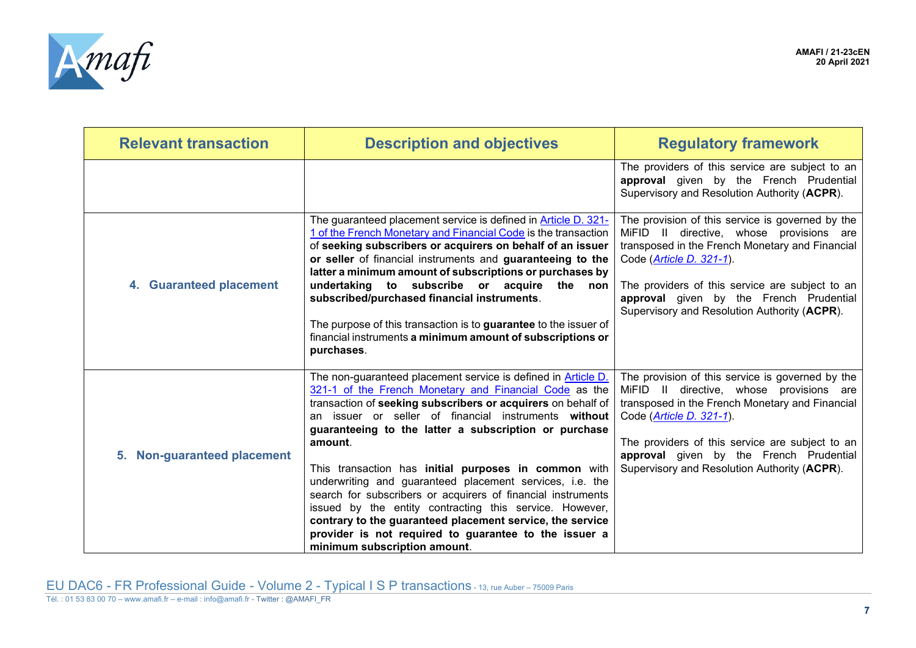

<span id="page-6-1"></span><span id="page-6-0"></span>

| <b>Relevant transaction</b>           | <b>Description and objectives</b>                                                                                                                                                                                                                                                                                                                                                                                                                                                                                                                                                                                                                                                                                        | <b>Regulatory framework</b>                                                                                                                                                                                                                                                                                                        |
|---------------------------------------|--------------------------------------------------------------------------------------------------------------------------------------------------------------------------------------------------------------------------------------------------------------------------------------------------------------------------------------------------------------------------------------------------------------------------------------------------------------------------------------------------------------------------------------------------------------------------------------------------------------------------------------------------------------------------------------------------------------------------|------------------------------------------------------------------------------------------------------------------------------------------------------------------------------------------------------------------------------------------------------------------------------------------------------------------------------------|
|                                       |                                                                                                                                                                                                                                                                                                                                                                                                                                                                                                                                                                                                                                                                                                                          | The providers of this service are subject to an<br>approval given by the French Prudential<br>Supervisory and Resolution Authority (ACPR).                                                                                                                                                                                         |
| 4. Guaranteed placement               | The guaranteed placement service is defined in Article D. 321-<br>1 of the French Monetary and Financial Code is the transaction<br>of seeking subscribers or acquirers on behalf of an issuer<br>or seller of financial instruments and guaranteeing to the<br>latter a minimum amount of subscriptions or purchases by<br>undertaking to subscribe or acquire the non<br>subscribed/purchased financial instruments.<br>The purpose of this transaction is to guarantee to the issuer of<br>financial instruments a minimum amount of subscriptions or<br>purchases.                                                                                                                                                   | The provision of this service is governed by the<br>MiFID II directive, whose provisions are<br>transposed in the French Monetary and Financial<br>Code (Article D. 321-1).<br>The providers of this service are subject to an<br>approval given by the French Prudential<br>Supervisory and Resolution Authority (ACPR).          |
| <b>Non-guaranteed placement</b><br>5. | The non-guaranteed placement service is defined in Article D.<br>321-1 of the French Monetary and Financial Code as the<br>transaction of seeking subscribers or acquirers on behalf of<br>an issuer or seller of financial instruments without<br>guaranteeing to the latter a subscription or purchase<br>amount.<br>This transaction has initial purposes in common with<br>underwriting and guaranteed placement services, i.e. the<br>search for subscribers or acquirers of financial instruments<br>issued by the entity contracting this service. However,<br>contrary to the guaranteed placement service, the service<br>provider is not required to guarantee to the issuer a<br>minimum subscription amount. | The provision of this service is governed by the<br>MiFID II directive, whose provisions are<br>transposed in the French Monetary and Financial<br>Code ( <i>Article D. 321-1</i> ).<br>The providers of this service are subject to an<br>approval given by the French Prudential<br>Supervisory and Resolution Authority (ACPR). |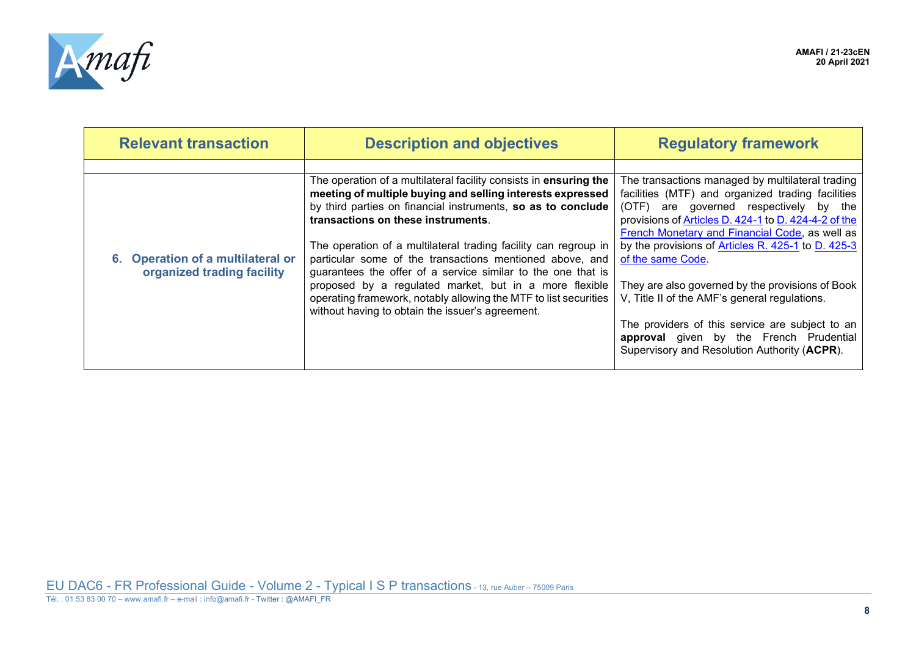

<span id="page-7-0"></span>

| <b>Relevant transaction</b>                                     | <b>Description and objectives</b>                                                                                        | <b>Regulatory framework</b>                          |
|-----------------------------------------------------------------|--------------------------------------------------------------------------------------------------------------------------|------------------------------------------------------|
|                                                                 |                                                                                                                          |                                                      |
|                                                                 | The operation of a multilateral facility consists in ensuring the                                                        | The transactions managed by multilateral trading     |
|                                                                 | meeting of multiple buying and selling interests expressed                                                               | facilities (MTF) and organized trading facilities    |
|                                                                 | by third parties on financial instruments, so as to conclude                                                             | (OTF) are governed respectively by the               |
|                                                                 | transactions on these instruments.                                                                                       | provisions of Articles D. 424-1 to D. 424-4-2 of the |
|                                                                 |                                                                                                                          | French Monetary and Financial Code, as well as       |
|                                                                 | The operation of a multilateral trading facility can regroup in                                                          | by the provisions of Articles R. 425-1 to D. 425-3   |
| 6. Operation of a multilateral or<br>organized trading facility | particular some of the transactions mentioned above, and<br>guarantees the offer of a service similar to the one that is | of the same Code.                                    |
|                                                                 | proposed by a regulated market, but in a more flexible                                                                   | They are also governed by the provisions of Book     |
|                                                                 | operating framework, notably allowing the MTF to list securities                                                         | V, Title II of the AMF's general regulations.        |
|                                                                 | without having to obtain the issuer's agreement.                                                                         |                                                      |
|                                                                 |                                                                                                                          | The providers of this service are subject to an      |
|                                                                 |                                                                                                                          | approval given by the French Prudential              |
|                                                                 |                                                                                                                          | Supervisory and Resolution Authority (ACPR).         |
|                                                                 |                                                                                                                          |                                                      |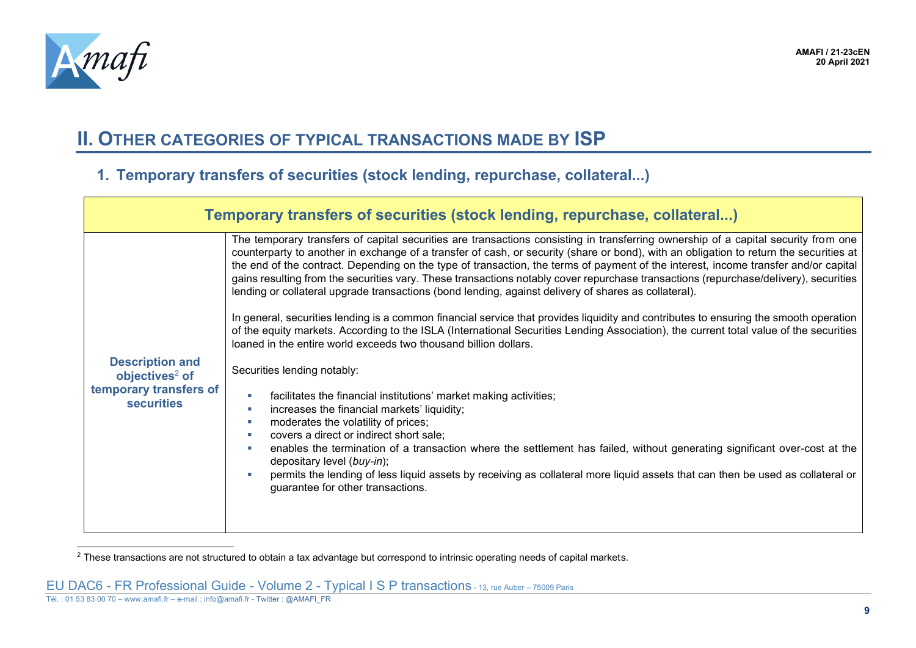

# **II. OTHER CATEGORIES OF TYPICAL TRANSACTIONS MADE BY ISP**

#### **1. Temporary transfers of securities (stock lending, repurchase, collateral...)**

| Temporary transfers of securities (stock lending, repurchase, collateral) |                                                                                                                                                                                                                                                                                                                                                                                                                                                                                                                                                                                                                                                                     |  |  |
|---------------------------------------------------------------------------|---------------------------------------------------------------------------------------------------------------------------------------------------------------------------------------------------------------------------------------------------------------------------------------------------------------------------------------------------------------------------------------------------------------------------------------------------------------------------------------------------------------------------------------------------------------------------------------------------------------------------------------------------------------------|--|--|
|                                                                           | The temporary transfers of capital securities are transactions consisting in transferring ownership of a capital security from one<br>counterparty to another in exchange of a transfer of cash, or security (share or bond), with an obligation to return the securities at<br>the end of the contract. Depending on the type of transaction, the terms of payment of the interest, income transfer and/or capital<br>gains resulting from the securities vary. These transactions notably cover repurchase transactions (repurchase/delivery), securities<br>lending or collateral upgrade transactions (bond lending, against delivery of shares as collateral). |  |  |
|                                                                           | In general, securities lending is a common financial service that provides liquidity and contributes to ensuring the smooth operation<br>of the equity markets. According to the ISLA (International Securities Lending Association), the current total value of the securities<br>loaned in the entire world exceeds two thousand billion dollars.                                                                                                                                                                                                                                                                                                                 |  |  |
| <b>Description and</b><br>objectives <sup>2</sup> of                      | Securities lending notably:                                                                                                                                                                                                                                                                                                                                                                                                                                                                                                                                                                                                                                         |  |  |
| temporary transfers of<br><b>securities</b>                               | facilitates the financial institutions' market making activities;<br>increases the financial markets' liquidity;<br>moderates the volatility of prices;<br>covers a direct or indirect short sale;                                                                                                                                                                                                                                                                                                                                                                                                                                                                  |  |  |
|                                                                           | enables the termination of a transaction where the settlement has failed, without generating significant over-cost at the<br>depositary level (buy-in);                                                                                                                                                                                                                                                                                                                                                                                                                                                                                                             |  |  |
|                                                                           | permits the lending of less liquid assets by receiving as collateral more liquid assets that can then be used as collateral or<br>guarantee for other transactions.                                                                                                                                                                                                                                                                                                                                                                                                                                                                                                 |  |  |
|                                                                           |                                                                                                                                                                                                                                                                                                                                                                                                                                                                                                                                                                                                                                                                     |  |  |

<span id="page-8-2"></span><span id="page-8-1"></span><span id="page-8-0"></span><sup>&</sup>lt;sup>2</sup> These transactions are not structured to obtain a tax advantage but correspond to intrinsic operating needs of capital markets.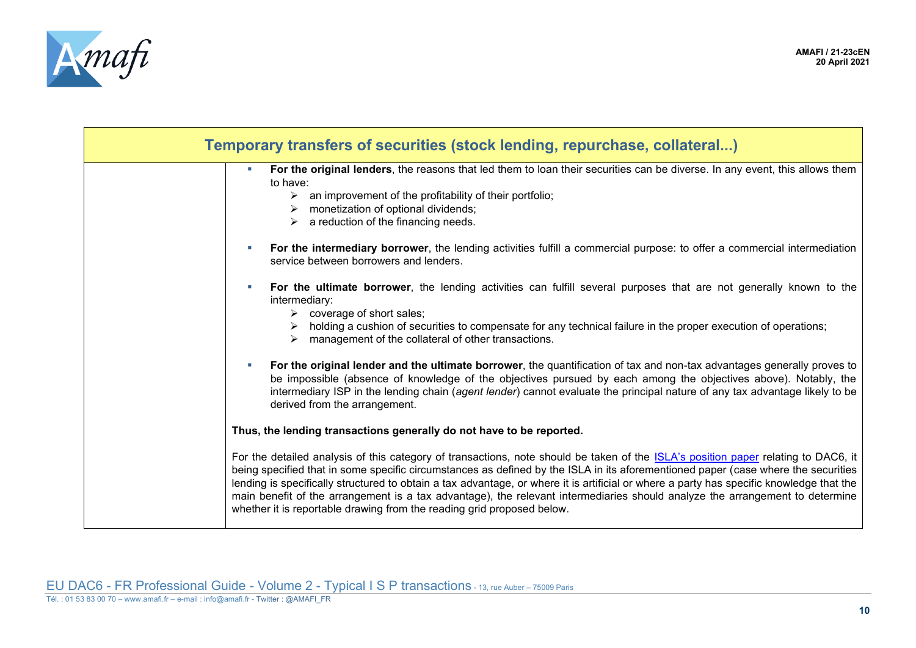

| Temporary transfers of securities (stock lending, repurchase, collateral)                                                                                                                                                                                                                                                                                                                                                                                                                                                                                                                                                             |
|---------------------------------------------------------------------------------------------------------------------------------------------------------------------------------------------------------------------------------------------------------------------------------------------------------------------------------------------------------------------------------------------------------------------------------------------------------------------------------------------------------------------------------------------------------------------------------------------------------------------------------------|
| For the original lenders, the reasons that led them to loan their securities can be diverse. In any event, this allows them<br>a.<br>to have:<br>$\triangleright$ an improvement of the profitability of their portfolio;<br>monetization of optional dividends;<br>➤<br>a reduction of the financing needs.                                                                                                                                                                                                                                                                                                                          |
| For the intermediary borrower, the lending activities fulfill a commercial purpose: to offer a commercial intermediation<br>service between borrowers and lenders.                                                                                                                                                                                                                                                                                                                                                                                                                                                                    |
| For the ultimate borrower, the lending activities can fulfill several purposes that are not generally known to the<br>intermediary:<br>$\triangleright$ coverage of short sales;<br>holding a cushion of securities to compensate for any technical failure in the proper execution of operations;<br>management of the collateral of other transactions.                                                                                                                                                                                                                                                                             |
| For the original lender and the ultimate borrower, the quantification of tax and non-tax advantages generally proves to<br>be impossible (absence of knowledge of the objectives pursued by each among the objectives above). Notably, the<br>intermediary ISP in the lending chain (agent lender) cannot evaluate the principal nature of any tax advantage likely to be<br>derived from the arrangement.                                                                                                                                                                                                                            |
| Thus, the lending transactions generally do not have to be reported.                                                                                                                                                                                                                                                                                                                                                                                                                                                                                                                                                                  |
| For the detailed analysis of this category of transactions, note should be taken of the <b>ISLA's position paper relating to DAC6</b> , it<br>being specified that in some specific circumstances as defined by the ISLA in its aforementioned paper (case where the securities<br>lending is specifically structured to obtain a tax advantage, or where it is artificial or where a party has specific knowledge that the<br>main benefit of the arrangement is a tax advantage), the relevant intermediaries should analyze the arrangement to determine<br>whether it is reportable drawing from the reading grid proposed below. |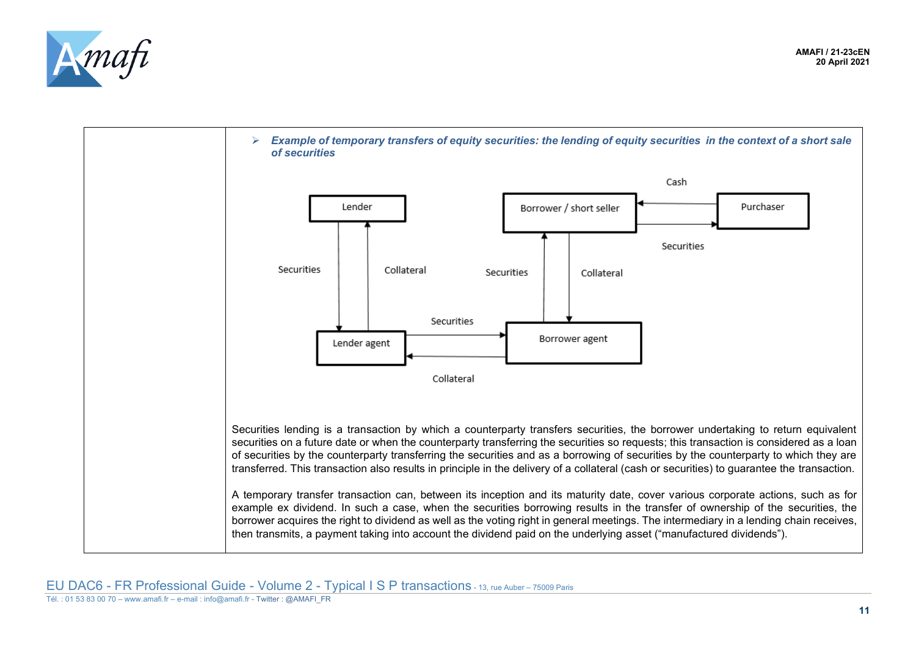



Tél. : 01 53 83 00 70 – www.amafi.fr – e-mail : info@amafi.fr - Twitter : @AMAFI\_FR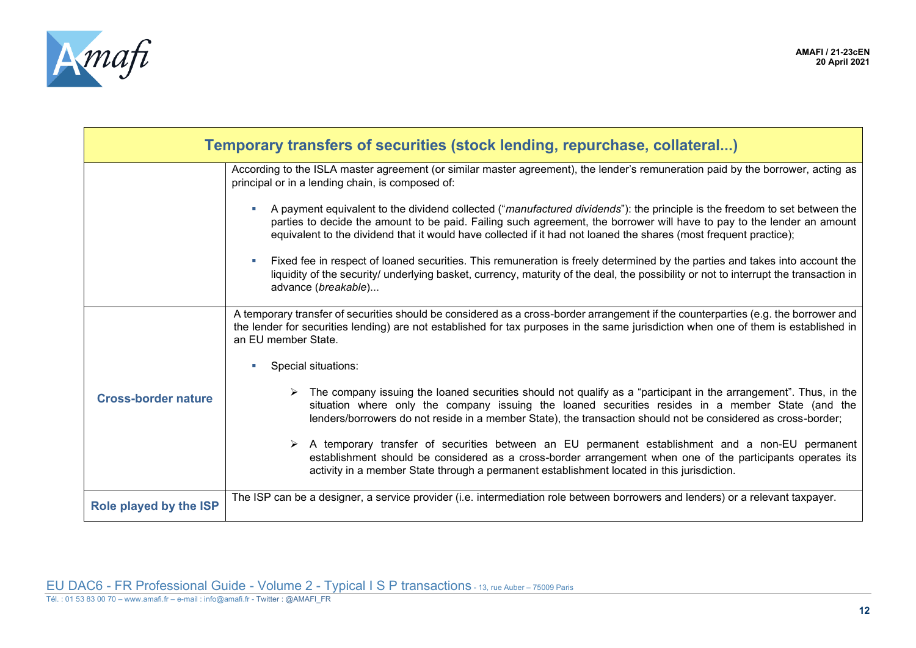

<span id="page-11-1"></span><span id="page-11-0"></span>

| Temporary transfers of securities (stock lending, repurchase, collateral) |                                                                                                                                                                                                                                                                                                                                                                           |  |  |
|---------------------------------------------------------------------------|---------------------------------------------------------------------------------------------------------------------------------------------------------------------------------------------------------------------------------------------------------------------------------------------------------------------------------------------------------------------------|--|--|
|                                                                           | According to the ISLA master agreement (or similar master agreement), the lender's remuneration paid by the borrower, acting as<br>principal or in a lending chain, is composed of:                                                                                                                                                                                       |  |  |
|                                                                           | A payment equivalent to the dividend collected ("manufactured dividends"): the principle is the freedom to set between the<br>parties to decide the amount to be paid. Failing such agreement, the borrower will have to pay to the lender an amount<br>equivalent to the dividend that it would have collected if it had not loaned the shares (most frequent practice); |  |  |
|                                                                           | Fixed fee in respect of loaned securities. This remuneration is freely determined by the parties and takes into account the<br>liquidity of the security/ underlying basket, currency, maturity of the deal, the possibility or not to interrupt the transaction in<br>advance (breakable)                                                                                |  |  |
|                                                                           | A temporary transfer of securities should be considered as a cross-border arrangement if the counterparties (e.g. the borrower and<br>the lender for securities lending) are not established for tax purposes in the same jurisdiction when one of them is established in<br>an EU member State.                                                                          |  |  |
|                                                                           | Special situations:                                                                                                                                                                                                                                                                                                                                                       |  |  |
| <b>Cross-border nature</b>                                                | The company issuing the loaned securities should not qualify as a "participant in the arrangement". Thus, in the<br>situation where only the company issuing the loaned securities resides in a member State (and the<br>lenders/borrowers do not reside in a member State), the transaction should not be considered as cross-border;                                    |  |  |
|                                                                           | > A temporary transfer of securities between an EU permanent establishment and a non-EU permanent<br>establishment should be considered as a cross-border arrangement when one of the participants operates its<br>activity in a member State through a permanent establishment located in this jurisdiction.                                                             |  |  |
| Role played by the ISP                                                    | The ISP can be a designer, a service provider (i.e. intermediation role between borrowers and lenders) or a relevant taxpayer.                                                                                                                                                                                                                                            |  |  |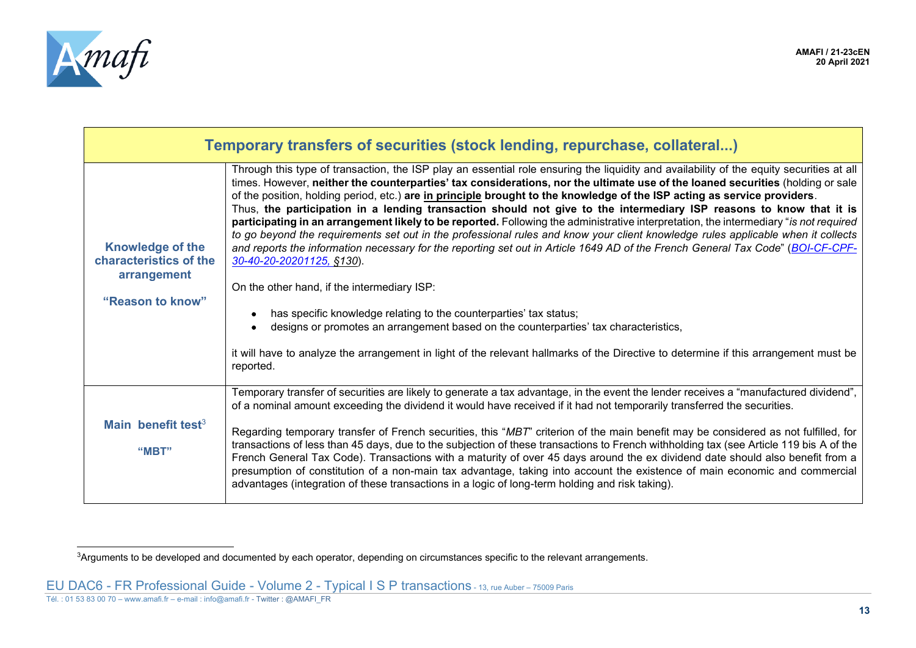

| Temporary transfers of securities (stock lending, repurchase, collateral)            |                                                                                                                                                                                                                                                                                                                                                                                                                                                                                                                                                                                                                                                                                                                                                                                                                                                                                                                                                                                                                                                                                                                                                                                                                                                                                                                                              |  |  |
|--------------------------------------------------------------------------------------|----------------------------------------------------------------------------------------------------------------------------------------------------------------------------------------------------------------------------------------------------------------------------------------------------------------------------------------------------------------------------------------------------------------------------------------------------------------------------------------------------------------------------------------------------------------------------------------------------------------------------------------------------------------------------------------------------------------------------------------------------------------------------------------------------------------------------------------------------------------------------------------------------------------------------------------------------------------------------------------------------------------------------------------------------------------------------------------------------------------------------------------------------------------------------------------------------------------------------------------------------------------------------------------------------------------------------------------------|--|--|
| <b>Knowledge of the</b><br>characteristics of the<br>arrangement<br>"Reason to know" | Through this type of transaction, the ISP play an essential role ensuring the liquidity and availability of the equity securities at all<br>times. However, neither the counterparties' tax considerations, nor the ultimate use of the loaned securities (holding or sale<br>of the position, holding period, etc.) are in principle brought to the knowledge of the ISP acting as service providers.<br>Thus, the participation in a lending transaction should not give to the intermediary ISP reasons to know that it is<br>participating in an arrangement likely to be reported. Following the administrative interpretation, the intermediary "is not required<br>to go beyond the requirements set out in the professional rules and know your client knowledge rules applicable when it collects<br>and reports the information necessary for the reporting set out in Article 1649 AD of the French General Tax Code" (BOI-CF-CPF-<br>30-40-20-20201125, §130).<br>On the other hand, if the intermediary ISP:<br>has specific knowledge relating to the counterparties' tax status;<br>designs or promotes an arrangement based on the counterparties' tax characteristics,<br>it will have to analyze the arrangement in light of the relevant hallmarks of the Directive to determine if this arrangement must be<br>reported. |  |  |
| Main benefit test $3$<br>"MBT"                                                       | Temporary transfer of securities are likely to generate a tax advantage, in the event the lender receives a "manufactured dividend",<br>of a nominal amount exceeding the dividend it would have received if it had not temporarily transferred the securities.<br>Regarding temporary transfer of French securities, this "MBT" criterion of the main benefit may be considered as not fulfilled, for<br>transactions of less than 45 days, due to the subjection of these transactions to French withholding tax (see Article 119 bis A of the<br>French General Tax Code). Transactions with a maturity of over 45 days around the ex dividend date should also benefit from a<br>presumption of constitution of a non-main tax advantage, taking into account the existence of main economic and commercial<br>advantages (integration of these transactions in a logic of long-term holding and risk taking).                                                                                                                                                                                                                                                                                                                                                                                                                           |  |  |

<span id="page-12-1"></span><span id="page-12-0"></span><sup>&</sup>lt;sup>3</sup>Arguments to be developed and documented by each operator, depending on circumstances specific to the relevant arrangements.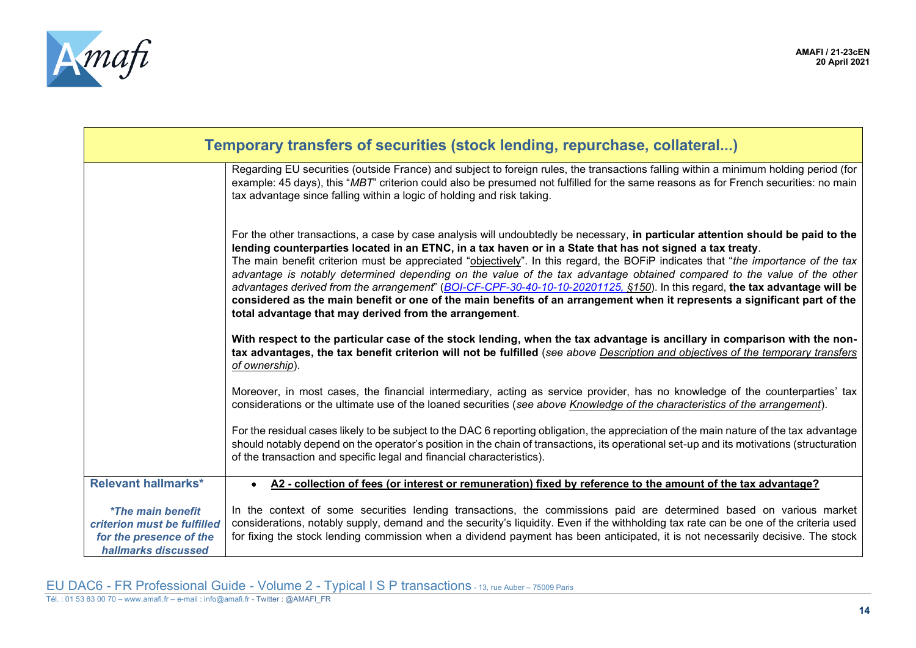

<span id="page-13-0"></span>

| Temporary transfers of securities (stock lending, repurchase, collateral)                                        |                                                                                                                                                                                                                                                                                                                                                                                                                                                                                                                                                                                                                                                                                                                                                                                                                                      |  |  |
|------------------------------------------------------------------------------------------------------------------|--------------------------------------------------------------------------------------------------------------------------------------------------------------------------------------------------------------------------------------------------------------------------------------------------------------------------------------------------------------------------------------------------------------------------------------------------------------------------------------------------------------------------------------------------------------------------------------------------------------------------------------------------------------------------------------------------------------------------------------------------------------------------------------------------------------------------------------|--|--|
|                                                                                                                  | Regarding EU securities (outside France) and subject to foreign rules, the transactions falling within a minimum holding period (for<br>example: 45 days), this "MBT" criterion could also be presumed not fulfilled for the same reasons as for French securities: no main<br>tax advantage since falling within a logic of holding and risk taking.                                                                                                                                                                                                                                                                                                                                                                                                                                                                                |  |  |
|                                                                                                                  | For the other transactions, a case by case analysis will undoubtedly be necessary, in particular attention should be paid to the<br>lending counterparties located in an ETNC, in a tax haven or in a State that has not signed a tax treaty.<br>The main benefit criterion must be appreciated "objectively". In this regard, the BOFIP indicates that "the importance of the tax<br>advantage is notably determined depending on the value of the tax advantage obtained compared to the value of the other<br>advantages derived from the arrangement" (BOI-CF-CPF-30-40-10-10-20201125, \$150). In this regard, the tax advantage will be<br>considered as the main benefit or one of the main benefits of an arrangement when it represents a significant part of the<br>total advantage that may derived from the arrangement. |  |  |
|                                                                                                                  | With respect to the particular case of the stock lending, when the tax advantage is ancillary in comparison with the non-<br>tax advantages, the tax benefit criterion will not be fulfilled (see above Description and objectives of the temporary transfers<br>of ownership).                                                                                                                                                                                                                                                                                                                                                                                                                                                                                                                                                      |  |  |
|                                                                                                                  | Moreover, in most cases, the financial intermediary, acting as service provider, has no knowledge of the counterparties' tax<br>considerations or the ultimate use of the loaned securities (see above Knowledge of the characteristics of the arrangement).                                                                                                                                                                                                                                                                                                                                                                                                                                                                                                                                                                         |  |  |
|                                                                                                                  | For the residual cases likely to be subject to the DAC 6 reporting obligation, the appreciation of the main nature of the tax advantage<br>should notably depend on the operator's position in the chain of transactions, its operational set-up and its motivations (structuration<br>of the transaction and specific legal and financial characteristics).                                                                                                                                                                                                                                                                                                                                                                                                                                                                         |  |  |
| <b>Relevant hallmarks*</b>                                                                                       | A2 - collection of fees (or interest or remuneration) fixed by reference to the amount of the tax advantage?                                                                                                                                                                                                                                                                                                                                                                                                                                                                                                                                                                                                                                                                                                                         |  |  |
| <i><b>*The main benefit</b></i><br>criterion must be fulfilled<br>for the presence of the<br>hallmarks discussed | In the context of some securities lending transactions, the commissions paid are determined based on various market<br>considerations, notably supply, demand and the security's liquidity. Even if the withholding tax rate can be one of the criteria used<br>for fixing the stock lending commission when a dividend payment has been anticipated, it is not necessarily decisive. The stock                                                                                                                                                                                                                                                                                                                                                                                                                                      |  |  |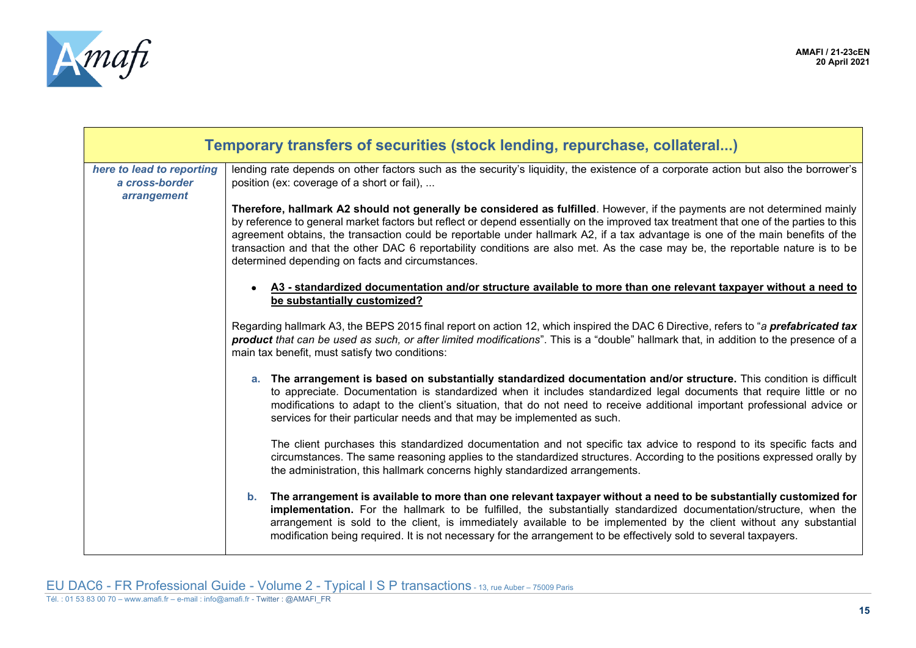

| Temporary transfers of securities (stock lending, repurchase, collateral) |                                                                                                                                                                                                                                                                                                                                                                                                                                                                                                                                                                                               |  |  |
|---------------------------------------------------------------------------|-----------------------------------------------------------------------------------------------------------------------------------------------------------------------------------------------------------------------------------------------------------------------------------------------------------------------------------------------------------------------------------------------------------------------------------------------------------------------------------------------------------------------------------------------------------------------------------------------|--|--|
| here to lead to reporting<br>a cross-border<br>arrangement                | lending rate depends on other factors such as the security's liquidity, the existence of a corporate action but also the borrower's<br>position (ex: coverage of a short or fail),                                                                                                                                                                                                                                                                                                                                                                                                            |  |  |
|                                                                           | Therefore, hallmark A2 should not generally be considered as fulfilled. However, if the payments are not determined mainly<br>by reference to general market factors but reflect or depend essentially on the improved tax treatment that one of the parties to this<br>agreement obtains, the transaction could be reportable under hallmark A2, if a tax advantage is one of the main benefits of the<br>transaction and that the other DAC 6 reportability conditions are also met. As the case may be, the reportable nature is to be<br>determined depending on facts and circumstances. |  |  |
|                                                                           | A3 - standardized documentation and/or structure available to more than one relevant taxpayer without a need to<br>$\bullet$<br>be substantially customized?                                                                                                                                                                                                                                                                                                                                                                                                                                  |  |  |
|                                                                           | Regarding hallmark A3, the BEPS 2015 final report on action 12, which inspired the DAC 6 Directive, refers to "a prefabricated tax<br>product that can be used as such, or after limited modifications". This is a "double" hallmark that, in addition to the presence of a<br>main tax benefit, must satisfy two conditions:                                                                                                                                                                                                                                                                 |  |  |
|                                                                           | a. The arrangement is based on substantially standardized documentation and/or structure. This condition is difficult<br>to appreciate. Documentation is standardized when it includes standardized legal documents that require little or no<br>modifications to adapt to the client's situation, that do not need to receive additional important professional advice or<br>services for their particular needs and that may be implemented as such.                                                                                                                                        |  |  |
|                                                                           | The client purchases this standardized documentation and not specific tax advice to respond to its specific facts and<br>circumstances. The same reasoning applies to the standardized structures. According to the positions expressed orally by<br>the administration, this hallmark concerns highly standardized arrangements.                                                                                                                                                                                                                                                             |  |  |
|                                                                           | The arrangement is available to more than one relevant taxpayer without a need to be substantially customized for<br>$b_{1}$<br>implementation. For the hallmark to be fulfilled, the substantially standardized documentation/structure, when the<br>arrangement is sold to the client, is immediately available to be implemented by the client without any substantial<br>modification being required. It is not necessary for the arrangement to be effectively sold to several taxpayers.                                                                                                |  |  |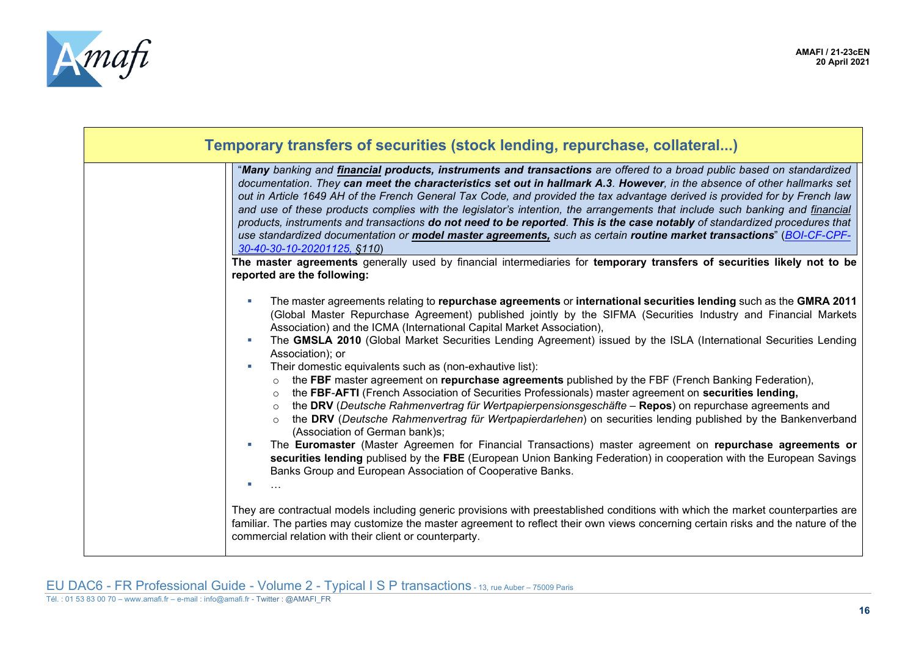

| Temporary transfers of securities (stock lending, repurchase, collateral)                                                                                                                                                                                                                                                                                                                                                                                                                                                                                                                                                                                                                                                                                                                                                                                                                                                                                                                                                                                                                                                                                                                                                                                                                                          |
|--------------------------------------------------------------------------------------------------------------------------------------------------------------------------------------------------------------------------------------------------------------------------------------------------------------------------------------------------------------------------------------------------------------------------------------------------------------------------------------------------------------------------------------------------------------------------------------------------------------------------------------------------------------------------------------------------------------------------------------------------------------------------------------------------------------------------------------------------------------------------------------------------------------------------------------------------------------------------------------------------------------------------------------------------------------------------------------------------------------------------------------------------------------------------------------------------------------------------------------------------------------------------------------------------------------------|
| "Many banking and financial products, instruments and transactions are offered to a broad public based on standardized<br>documentation. They can meet the characteristics set out in hallmark A.3. However, in the absence of other hallmarks set<br>out in Article 1649 AH of the French General Tax Code, and provided the tax advantage derived is provided for by French law<br>and use of these products complies with the legislator's intention, the arrangements that include such banking and financial<br>products, instruments and transactions do not need to be reported. This is the case notably of standardized procedures that<br>use standardized documentation or model master agreements, such as certain routine market transactions" (BOI-CF-CPF-<br>30-40-30-10-20201125, §110)                                                                                                                                                                                                                                                                                                                                                                                                                                                                                                            |
| The master agreements generally used by financial intermediaries for temporary transfers of securities likely not to be<br>reported are the following:                                                                                                                                                                                                                                                                                                                                                                                                                                                                                                                                                                                                                                                                                                                                                                                                                                                                                                                                                                                                                                                                                                                                                             |
| The master agreements relating to repurchase agreements or international securities lending such as the GMRA 2011<br>(Global Master Repurchase Agreement) published jointly by the SIFMA (Securities Industry and Financial Markets<br>Association) and the ICMA (International Capital Market Association),<br>The GMSLA 2010 (Global Market Securities Lending Agreement) issued by the ISLA (International Securities Lending<br>Association); or<br>Their domestic equivalents such as (non-exhautive list):<br>the FBF master agreement on repurchase agreements published by the FBF (French Banking Federation),<br>$\circ$<br>the FBF-AFTI (French Association of Securities Professionals) master agreement on securities lending,<br>$\circ$<br>the DRV (Deutsche Rahmenvertrag für Wertpapierpensionsgeschäfte - Repos) on repurchase agreements and<br>the DRV (Deutsche Rahmenvertrag für Wertpapierdarlehen) on securities lending published by the Bankenverband<br>(Association of German bank)s;<br>The Euromaster (Master Agreemen for Financial Transactions) master agreement on repurchase agreements or<br>securities lending publised by the FBE (European Union Banking Federation) in cooperation with the European Savings<br>Banks Group and European Association of Cooperative Banks. |
| They are contractual models including generic provisions with preestablished conditions with which the market counterparties are<br>familiar. The parties may customize the master agreement to reflect their own views concerning certain risks and the nature of the<br>commercial relation with their client or counterparty.                                                                                                                                                                                                                                                                                                                                                                                                                                                                                                                                                                                                                                                                                                                                                                                                                                                                                                                                                                                   |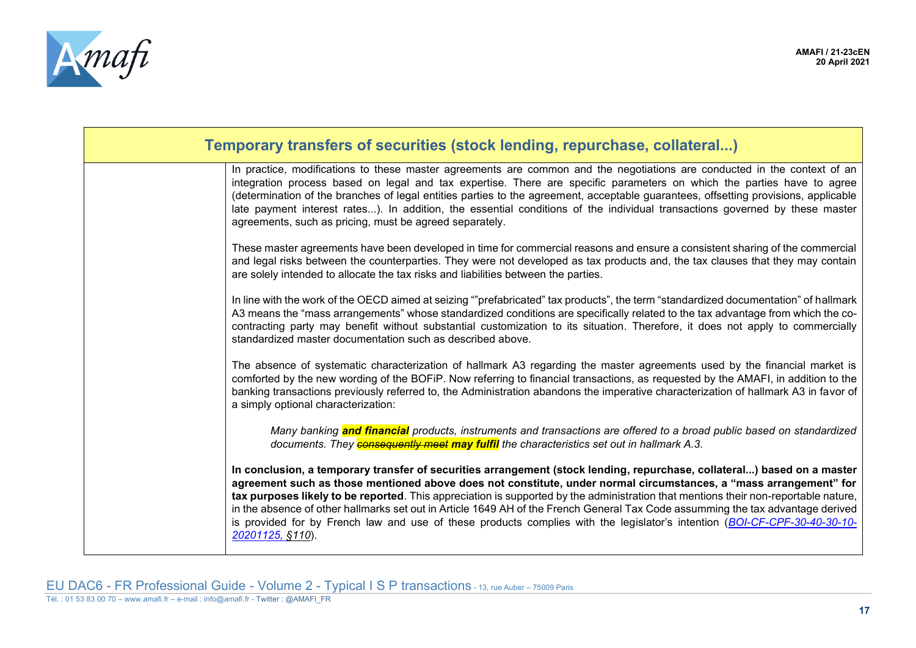

| Temporary transfers of securities (stock lending, repurchase, collateral)                                                                                                                                                                                                                                                                                                                                                                                                                                                                                                                                                                                               |  |  |
|-------------------------------------------------------------------------------------------------------------------------------------------------------------------------------------------------------------------------------------------------------------------------------------------------------------------------------------------------------------------------------------------------------------------------------------------------------------------------------------------------------------------------------------------------------------------------------------------------------------------------------------------------------------------------|--|--|
| In practice, modifications to these master agreements are common and the negotiations are conducted in the context of an<br>integration process based on legal and tax expertise. There are specific parameters on which the parties have to agree<br>(determination of the branches of legal entities parties to the agreement, acceptable guarantees, offsetting provisions, applicable<br>late payment interest rates). In addition, the essential conditions of the individual transactions governed by these master<br>agreements, such as pricing, must be agreed separately.                                                                                     |  |  |
| These master agreements have been developed in time for commercial reasons and ensure a consistent sharing of the commercial<br>and legal risks between the counterparties. They were not developed as tax products and, the tax clauses that they may contain<br>are solely intended to allocate the tax risks and liabilities between the parties.                                                                                                                                                                                                                                                                                                                    |  |  |
| In line with the work of the OECD aimed at seizing ""prefabricated" tax products", the term "standardized documentation" of hallmark<br>A3 means the "mass arrangements" whose standardized conditions are specifically related to the tax advantage from which the co-<br>contracting party may benefit without substantial customization to its situation. Therefore, it does not apply to commercially<br>standardized master documentation such as described above.                                                                                                                                                                                                 |  |  |
| The absence of systematic characterization of hallmark A3 regarding the master agreements used by the financial market is<br>comforted by the new wording of the BOFiP. Now referring to financial transactions, as requested by the AMAFI, in addition to the<br>banking transactions previously referred to, the Administration abandons the imperative characterization of hallmark A3 in favor of<br>a simply optional characterization:                                                                                                                                                                                                                            |  |  |
| Many banking and financial products, instruments and transactions are offered to a broad public based on standardized<br>documents. They <b>consequently meet may fulfil</b> the characteristics set out in hallmark A.3.                                                                                                                                                                                                                                                                                                                                                                                                                                               |  |  |
| In conclusion, a temporary transfer of securities arrangement (stock lending, repurchase, collateral) based on a master<br>agreement such as those mentioned above does not constitute, under normal circumstances, a "mass arrangement" for<br>tax purposes likely to be reported. This appreciation is supported by the administration that mentions their non-reportable nature,<br>in the absence of other hallmarks set out in Article 1649 AH of the French General Tax Code assumming the tax advantage derived<br>is provided for by French law and use of these products complies with the legislator's intention (BOI-CF-CPF-30-40-30-10-<br>20201125, §110). |  |  |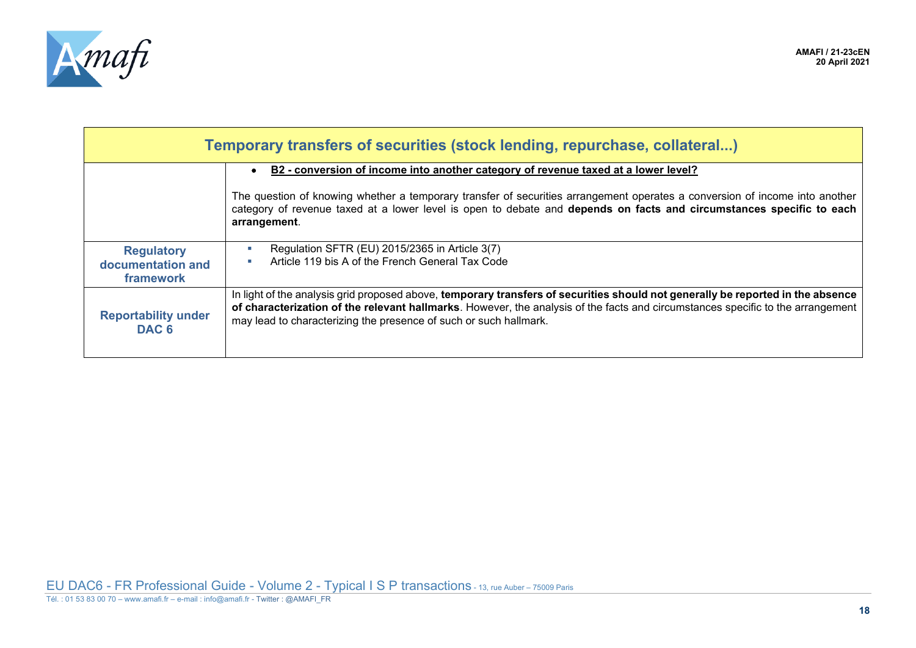

<span id="page-17-1"></span><span id="page-17-0"></span>

| Temporary transfers of securities (stock lending, repurchase, collateral) |                                                                                                                                                                                                                                                                                                                                         |
|---------------------------------------------------------------------------|-----------------------------------------------------------------------------------------------------------------------------------------------------------------------------------------------------------------------------------------------------------------------------------------------------------------------------------------|
|                                                                           | B2 - conversion of income into another category of revenue taxed at a lower level?                                                                                                                                                                                                                                                      |
|                                                                           | The question of knowing whether a temporary transfer of securities arrangement operates a conversion of income into another<br>category of revenue taxed at a lower level is open to debate and depends on facts and circumstances specific to each<br>arrangement.                                                                     |
| <b>Regulatory</b><br>documentation and<br>framework                       | Regulation SFTR (EU) 2015/2365 in Article 3(7)<br>Article 119 bis A of the French General Tax Code                                                                                                                                                                                                                                      |
| <b>Reportability under</b><br>DAC <sub>6</sub>                            | In light of the analysis grid proposed above, temporary transfers of securities should not generally be reported in the absence<br>of characterization of the relevant hallmarks. However, the analysis of the facts and circumstances specific to the arrangement<br>may lead to characterizing the presence of such or such hallmark. |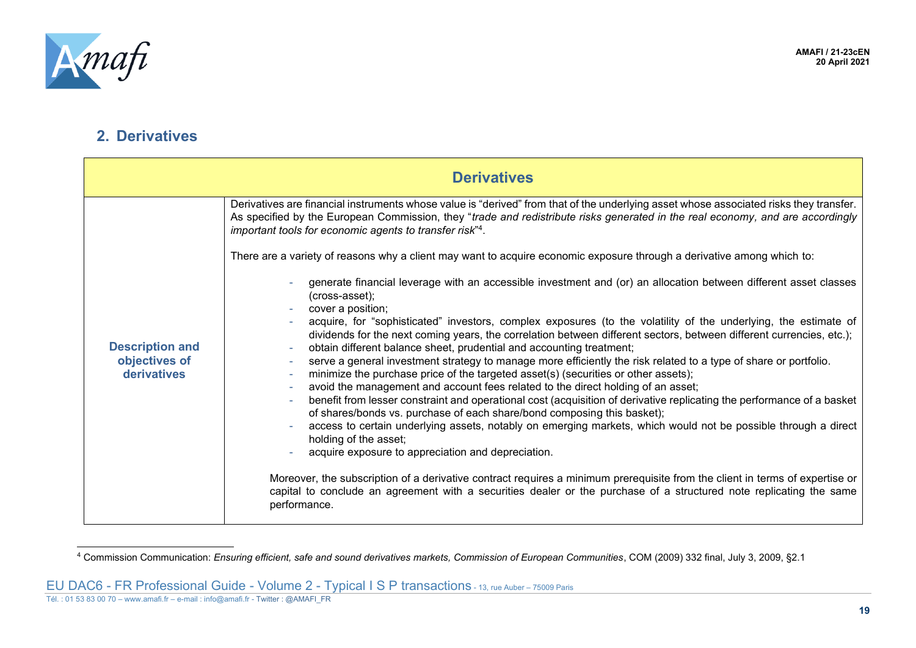

#### **2. Derivatives**

|                                                        | <b>Derivatives</b>                                                                                                                                                                                                                                                                                                                                                                                                                                                                                                                                                                                                                                                                                                                                                                                                                                                                                                                                                                                                                                                     |
|--------------------------------------------------------|------------------------------------------------------------------------------------------------------------------------------------------------------------------------------------------------------------------------------------------------------------------------------------------------------------------------------------------------------------------------------------------------------------------------------------------------------------------------------------------------------------------------------------------------------------------------------------------------------------------------------------------------------------------------------------------------------------------------------------------------------------------------------------------------------------------------------------------------------------------------------------------------------------------------------------------------------------------------------------------------------------------------------------------------------------------------|
| <b>Description and</b><br>objectives of<br>derivatives | Derivatives are financial instruments whose value is "derived" from that of the underlying asset whose associated risks they transfer.<br>As specified by the European Commission, they "trade and redistribute risks generated in the real economy, and are accordingly<br>important tools for economic agents to transfer risk" <sup>4</sup> .                                                                                                                                                                                                                                                                                                                                                                                                                                                                                                                                                                                                                                                                                                                       |
|                                                        | There are a variety of reasons why a client may want to acquire economic exposure through a derivative among which to:                                                                                                                                                                                                                                                                                                                                                                                                                                                                                                                                                                                                                                                                                                                                                                                                                                                                                                                                                 |
|                                                        | generate financial leverage with an accessible investment and (or) an allocation between different asset classes<br>(cross-asset);                                                                                                                                                                                                                                                                                                                                                                                                                                                                                                                                                                                                                                                                                                                                                                                                                                                                                                                                     |
|                                                        | cover a position;<br>acquire, for "sophisticated" investors, complex exposures (to the volatility of the underlying, the estimate of<br>dividends for the next coming years, the correlation between different sectors, between different currencies, etc.);<br>obtain different balance sheet, prudential and accounting treatment;<br>$\sim$<br>serve a general investment strategy to manage more efficiently the risk related to a type of share or portfolio.<br>minimize the purchase price of the targeted asset(s) (securities or other assets);<br>$\sim$<br>avoid the management and account fees related to the direct holding of an asset;<br>$\sim$<br>benefit from lesser constraint and operational cost (acquisition of derivative replicating the performance of a basket<br>of shares/bonds vs. purchase of each share/bond composing this basket);<br>access to certain underlying assets, notably on emerging markets, which would not be possible through a direct<br>holding of the asset;<br>acquire exposure to appreciation and depreciation. |
|                                                        | Moreover, the subscription of a derivative contract requires a minimum prerequisite from the client in terms of expertise or<br>capital to conclude an agreement with a securities dealer or the purchase of a structured note replicating the same<br>performance.                                                                                                                                                                                                                                                                                                                                                                                                                                                                                                                                                                                                                                                                                                                                                                                                    |

<span id="page-18-0"></span><sup>4</sup> Commission Communication: *Ensuring efficient, safe and sound derivatives markets, Commission of European Communities*, COM (2009) 332 final, July 3, 2009, §2.1

EU DAC6 - FR Professional Guide - Volume 2 - Typical I S P transactions - 13, rue Auber – 75009 Paris

<span id="page-18-1"></span>Tél. : 01 53 83 00 70 – www.amafi.fr – e-mail : info@amafi.fr - Twitter : @AMAFI\_FR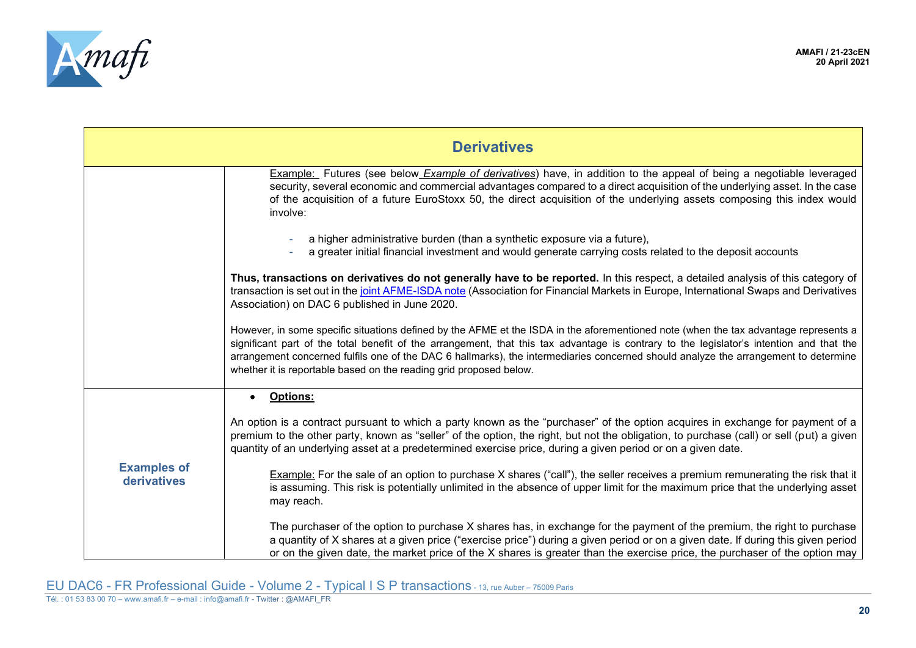

<span id="page-19-0"></span>

| <b>Derivatives</b>                |                                                                                                                                                                                                                                                                                                                                                                                                                                                                                               |
|-----------------------------------|-----------------------------------------------------------------------------------------------------------------------------------------------------------------------------------------------------------------------------------------------------------------------------------------------------------------------------------------------------------------------------------------------------------------------------------------------------------------------------------------------|
|                                   | Example: Futures (see below <i>Example of derivatives</i> ) have, in addition to the appeal of being a negotiable leveraged<br>security, several economic and commercial advantages compared to a direct acquisition of the underlying asset. In the case<br>of the acquisition of a future EuroStoxx 50, the direct acquisition of the underlying assets composing this index would<br>involve:                                                                                              |
|                                   | a higher administrative burden (than a synthetic exposure via a future),<br>a greater initial financial investment and would generate carrying costs related to the deposit accounts                                                                                                                                                                                                                                                                                                          |
|                                   | Thus, transactions on derivatives do not generally have to be reported. In this respect, a detailed analysis of this category of<br>transaction is set out in the joint AFME-ISDA note (Association for Financial Markets in Europe, International Swaps and Derivatives<br>Association) on DAC 6 published in June 2020.                                                                                                                                                                     |
|                                   | However, in some specific situations defined by the AFME et the ISDA in the aforementioned note (when the tax advantage represents a<br>significant part of the total benefit of the arrangement, that this tax advantage is contrary to the legislator's intention and that the<br>arrangement concerned fulfils one of the DAC 6 hallmarks), the intermediaries concerned should analyze the arrangement to determine<br>whether it is reportable based on the reading grid proposed below. |
|                                   | <b>Options:</b>                                                                                                                                                                                                                                                                                                                                                                                                                                                                               |
| <b>Examples of</b><br>derivatives | An option is a contract pursuant to which a party known as the "purchaser" of the option acquires in exchange for payment of a<br>premium to the other party, known as "seller" of the option, the right, but not the obligation, to purchase (call) or sell (put) a given<br>quantity of an underlying asset at a predetermined exercise price, during a given period or on a given date.                                                                                                    |
|                                   | Example: For the sale of an option to purchase X shares ("call"), the seller receives a premium remunerating the risk that it<br>is assuming. This risk is potentially unlimited in the absence of upper limit for the maximum price that the underlying asset<br>may reach.                                                                                                                                                                                                                  |
|                                   | The purchaser of the option to purchase X shares has, in exchange for the payment of the premium, the right to purchase<br>a quantity of X shares at a given price ("exercise price") during a given period or on a given date. If during this given period<br>or on the given date, the market price of the X shares is greater than the exercise price, the purchaser of the option may                                                                                                     |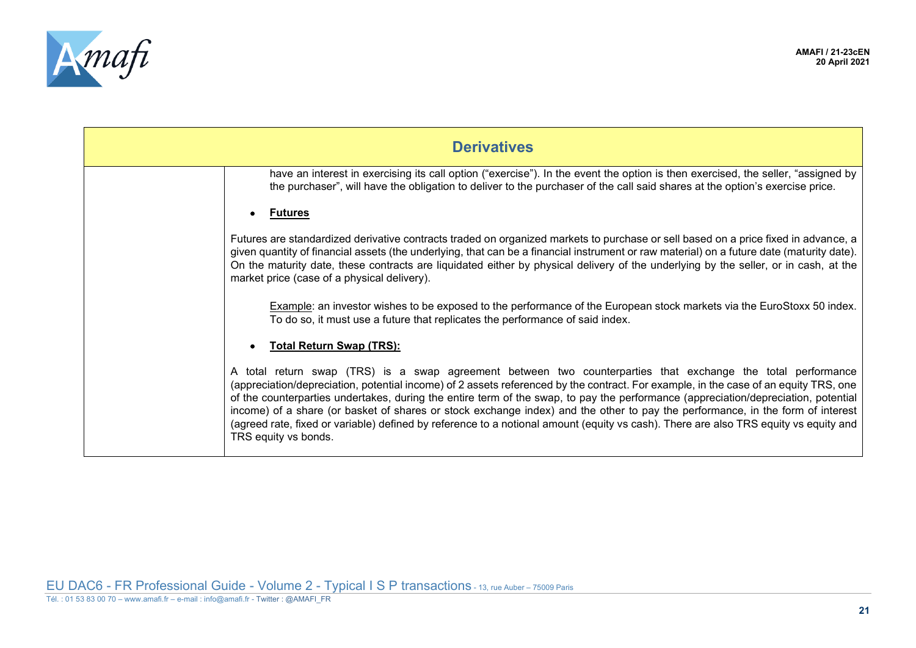

| <b>Derivatives</b>                                                                                                                                                                                                                                                                                                                                                                                                                                                                                                                                                                                                                                                                           |
|----------------------------------------------------------------------------------------------------------------------------------------------------------------------------------------------------------------------------------------------------------------------------------------------------------------------------------------------------------------------------------------------------------------------------------------------------------------------------------------------------------------------------------------------------------------------------------------------------------------------------------------------------------------------------------------------|
| have an interest in exercising its call option ("exercise"). In the event the option is then exercised, the seller, "assigned by<br>the purchaser", will have the obligation to deliver to the purchaser of the call said shares at the option's exercise price.                                                                                                                                                                                                                                                                                                                                                                                                                             |
| <b>Futures</b>                                                                                                                                                                                                                                                                                                                                                                                                                                                                                                                                                                                                                                                                               |
| Futures are standardized derivative contracts traded on organized markets to purchase or sell based on a price fixed in advance, a<br>given quantity of financial assets (the underlying, that can be a financial instrument or raw material) on a future date (maturity date).<br>On the maturity date, these contracts are liquidated either by physical delivery of the underlying by the seller, or in cash, at the<br>market price (case of a physical delivery).                                                                                                                                                                                                                       |
| Example: an investor wishes to be exposed to the performance of the European stock markets via the EuroStoxx 50 index.<br>To do so, it must use a future that replicates the performance of said index.                                                                                                                                                                                                                                                                                                                                                                                                                                                                                      |
| <b>Total Return Swap (TRS):</b>                                                                                                                                                                                                                                                                                                                                                                                                                                                                                                                                                                                                                                                              |
| A total return swap (TRS) is a swap agreement between two counterparties that exchange the total performance<br>(appreciation/depreciation, potential income) of 2 assets referenced by the contract. For example, in the case of an equity TRS, one<br>of the counterparties undertakes, during the entire term of the swap, to pay the performance (appreciation/depreciation, potential<br>income) of a share (or basket of shares or stock exchange index) and the other to pay the performance, in the form of interest<br>(agreed rate, fixed or variable) defined by reference to a notional amount (equity vs cash). There are also TRS equity vs equity and<br>TRS equity vs bonds. |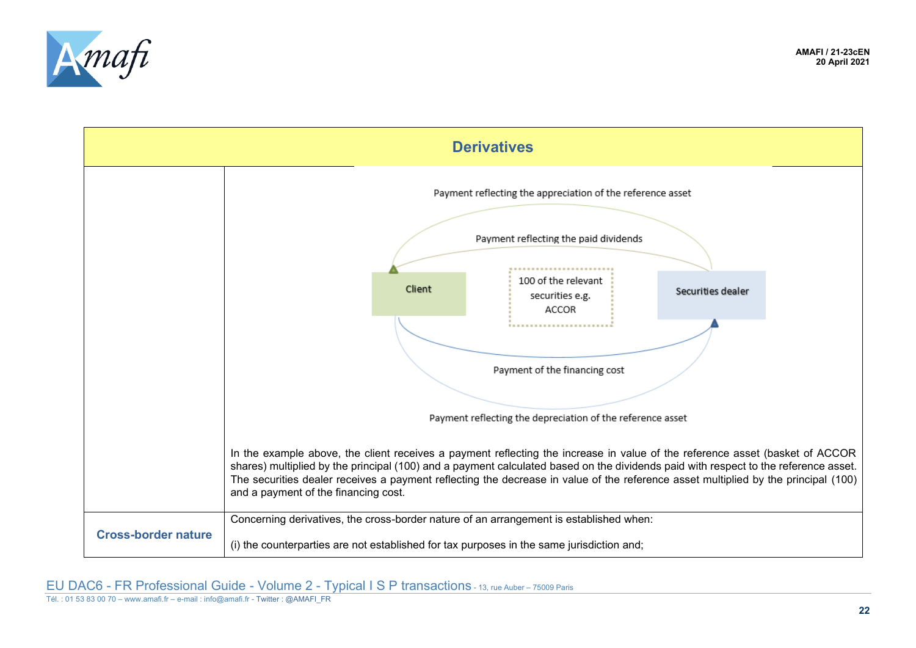



<span id="page-21-0"></span>Tél. : 01 53 83 00 70 – www.amafi.fr – e-mail : info@amafi.fr - Twitter : @AMAFI\_FR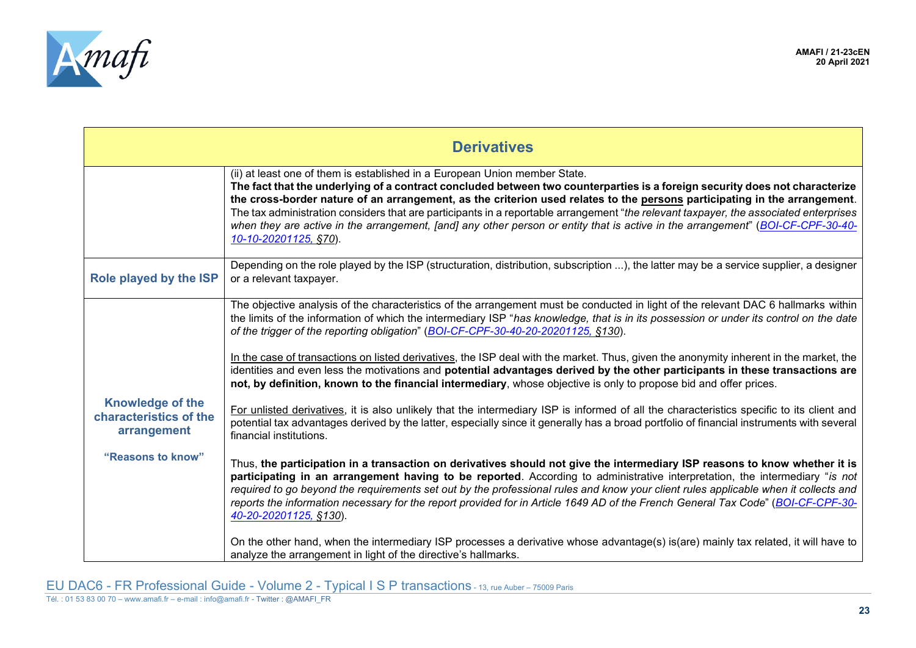

<span id="page-22-1"></span><span id="page-22-0"></span>

| <b>Derivatives</b>                                               |                                                                                                                                                                                                                                                                                                                                                                                                                                                                                                                                                                                                                                             |
|------------------------------------------------------------------|---------------------------------------------------------------------------------------------------------------------------------------------------------------------------------------------------------------------------------------------------------------------------------------------------------------------------------------------------------------------------------------------------------------------------------------------------------------------------------------------------------------------------------------------------------------------------------------------------------------------------------------------|
|                                                                  | (ii) at least one of them is established in a European Union member State.<br>The fact that the underlying of a contract concluded between two counterparties is a foreign security does not characterize<br>the cross-border nature of an arrangement, as the criterion used relates to the persons participating in the arrangement.<br>The tax administration considers that are participants in a reportable arrangement "the relevant taxpayer, the associated enterprises<br>when they are active in the arrangement, [and] any other person or entity that is active in the arrangement" (BOI-CF-CPF-30-40-<br>10-10-20201125, §70). |
| Role played by the ISP                                           | Depending on the role played by the ISP (structuration, distribution, subscription ), the latter may be a service supplier, a designer<br>or a relevant taxpayer.                                                                                                                                                                                                                                                                                                                                                                                                                                                                           |
|                                                                  | The objective analysis of the characteristics of the arrangement must be conducted in light of the relevant DAC 6 hallmarks within<br>the limits of the information of which the intermediary ISP "has knowledge, that is in its possession or under its control on the date<br>of the trigger of the reporting obligation" (BOI-CF-CPF-30-40-20-20201125, §130).<br>In the case of transactions on listed derivatives, the ISP deal with the market. Thus, given the anonymity inherent in the market, the                                                                                                                                 |
|                                                                  | identities and even less the motivations and potential advantages derived by the other participants in these transactions are<br>not, by definition, known to the financial intermediary, whose objective is only to propose bid and offer prices.                                                                                                                                                                                                                                                                                                                                                                                          |
| <b>Knowledge of the</b><br>characteristics of the<br>arrangement | For unlisted derivatives, it is also unlikely that the intermediary ISP is informed of all the characteristics specific to its client and<br>potential tax advantages derived by the latter, especially since it generally has a broad portfolio of financial instruments with several<br>financial institutions.                                                                                                                                                                                                                                                                                                                           |
| "Reasons to know"                                                | Thus, the participation in a transaction on derivatives should not give the intermediary ISP reasons to know whether it is<br>participating in an arrangement having to be reported. According to administrative interpretation, the intermediary "is not<br>required to go beyond the requirements set out by the professional rules and know your client rules applicable when it collects and<br>reports the information necessary for the report provided for in Article 1649 AD of the French General Tax Code" (BOI-CF-CPF-30-<br>40-20-20201125, §130).                                                                              |
|                                                                  | On the other hand, when the intermediary ISP processes a derivative whose advantage(s) is(are) mainly tax related, it will have to<br>analyze the arrangement in light of the directive's hallmarks.                                                                                                                                                                                                                                                                                                                                                                                                                                        |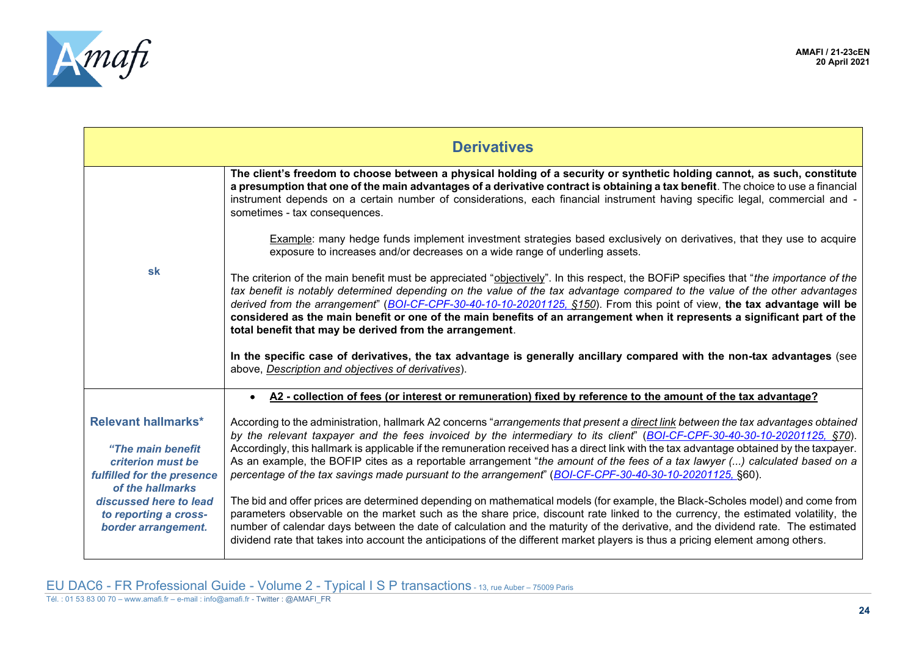

<span id="page-23-0"></span>

|                                                                                                                                                                                                  | <b>Derivatives</b>                                                                                                                                                                                                                                                                                                                                                                                                                                                                                                                                                                                                                                    |
|--------------------------------------------------------------------------------------------------------------------------------------------------------------------------------------------------|-------------------------------------------------------------------------------------------------------------------------------------------------------------------------------------------------------------------------------------------------------------------------------------------------------------------------------------------------------------------------------------------------------------------------------------------------------------------------------------------------------------------------------------------------------------------------------------------------------------------------------------------------------|
| sk                                                                                                                                                                                               | The client's freedom to choose between a physical holding of a security or synthetic holding cannot, as such, constitute<br>a presumption that one of the main advantages of a derivative contract is obtaining a tax benefit. The choice to use a financial<br>instrument depends on a certain number of considerations, each financial instrument having specific legal, commercial and -<br>sometimes - tax consequences.                                                                                                                                                                                                                          |
|                                                                                                                                                                                                  | Example: many hedge funds implement investment strategies based exclusively on derivatives, that they use to acquire<br>exposure to increases and/or decreases on a wide range of underling assets.                                                                                                                                                                                                                                                                                                                                                                                                                                                   |
|                                                                                                                                                                                                  | The criterion of the main benefit must be appreciated "objectively". In this respect, the BOFiP specifies that "the importance of the<br>tax benefit is notably determined depending on the value of the tax advantage compared to the value of the other advantages<br>derived from the arrangement" (BOI-CF-CPF-30-40-10-10-20201125, \$150). From this point of view, the tax advantage will be<br>considered as the main benefit or one of the main benefits of an arrangement when it represents a significant part of the<br>total benefit that may be derived from the arrangement.                                                            |
|                                                                                                                                                                                                  | In the specific case of derivatives, the tax advantage is generally ancillary compared with the non-tax advantages (see<br>above, Description and objectives of derivatives).                                                                                                                                                                                                                                                                                                                                                                                                                                                                         |
|                                                                                                                                                                                                  | A2 - collection of fees (or interest or remuneration) fixed by reference to the amount of the tax advantage?                                                                                                                                                                                                                                                                                                                                                                                                                                                                                                                                          |
| <b>Relevant hallmarks*</b><br>"The main benefit<br>criterion must be<br>fulfilled for the presence<br>of the hallmarks<br>discussed here to lead<br>to reporting a cross-<br>border arrangement. | According to the administration, hallmark A2 concerns "arrangements that present a direct link between the tax advantages obtained<br>by the relevant taxpayer and the fees invoiced by the intermediary to its client" (BOI-CF-CPF-30-40-30-10-20201125, §70).<br>Accordingly, this hallmark is applicable if the remuneration received has a direct link with the tax advantage obtained by the taxpayer.<br>As an example, the BOFIP cites as a reportable arrangement "the amount of the fees of a tax lawyer () calculated based on a<br>percentage of the tax savings made pursuant to the arrangement" (BOI-CF-CPF-30-40-30-10-20201125, §60). |
|                                                                                                                                                                                                  | The bid and offer prices are determined depending on mathematical models (for example, the Black-Scholes model) and come from<br>parameters observable on the market such as the share price, discount rate linked to the currency, the estimated volatility, the<br>number of calendar days between the date of calculation and the maturity of the derivative, and the dividend rate. The estimated<br>dividend rate that takes into account the anticipations of the different market players is thus a pricing element among others.                                                                                                              |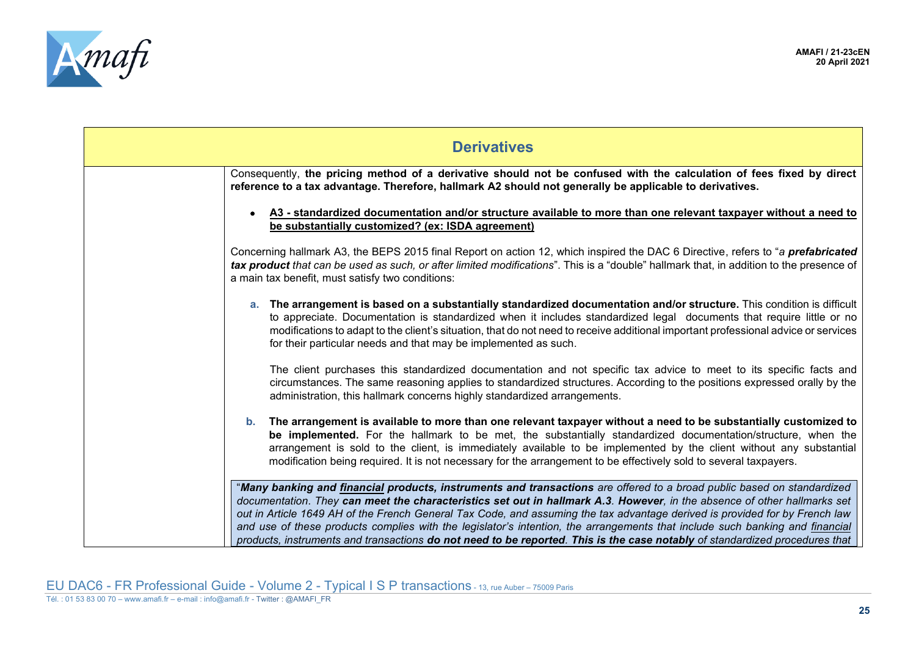

| <b>Derivatives</b>                                                                                                                                                                                                                                                                                                                                                                                                                                                                                                                                                                                                                               |  |
|--------------------------------------------------------------------------------------------------------------------------------------------------------------------------------------------------------------------------------------------------------------------------------------------------------------------------------------------------------------------------------------------------------------------------------------------------------------------------------------------------------------------------------------------------------------------------------------------------------------------------------------------------|--|
| Consequently, the pricing method of a derivative should not be confused with the calculation of fees fixed by direct<br>reference to a tax advantage. Therefore, hallmark A2 should not generally be applicable to derivatives.                                                                                                                                                                                                                                                                                                                                                                                                                  |  |
| A3 - standardized documentation and/or structure available to more than one relevant taxpayer without a need to<br>be substantially customized? (ex: ISDA agreement)                                                                                                                                                                                                                                                                                                                                                                                                                                                                             |  |
| Concerning hallmark A3, the BEPS 2015 final Report on action 12, which inspired the DAC 6 Directive, refers to "a prefabricated<br>tax product that can be used as such, or after limited modifications". This is a "double" hallmark that, in addition to the presence of<br>a main tax benefit, must satisfy two conditions:                                                                                                                                                                                                                                                                                                                   |  |
| a. The arrangement is based on a substantially standardized documentation and/or structure. This condition is difficult<br>to appreciate. Documentation is standardized when it includes standardized legal documents that require little or no<br>modifications to adapt to the client's situation, that do not need to receive additional important professional advice or services<br>for their particular needs and that may be implemented as such.                                                                                                                                                                                         |  |
| The client purchases this standardized documentation and not specific tax advice to meet to its specific facts and<br>circumstances. The same reasoning applies to standardized structures. According to the positions expressed orally by the<br>administration, this hallmark concerns highly standardized arrangements.                                                                                                                                                                                                                                                                                                                       |  |
| b. The arrangement is available to more than one relevant taxpayer without a need to be substantially customized to<br>be implemented. For the hallmark to be met, the substantially standardized documentation/structure, when the<br>arrangement is sold to the client, is immediately available to be implemented by the client without any substantial<br>modification being required. It is not necessary for the arrangement to be effectively sold to several taxpayers.                                                                                                                                                                  |  |
| "Many banking and financial products, instruments and transactions are offered to a broad public based on standardized<br>documentation. They can meet the characteristics set out in hallmark A.3. However, in the absence of other hallmarks set<br>out in Article 1649 AH of the French General Tax Code, and assuming the tax advantage derived is provided for by French law<br>and use of these products complies with the legislator's intention, the arrangements that include such banking and financial<br>products, instruments and transactions do not need to be reported. This is the case notably of standardized procedures that |  |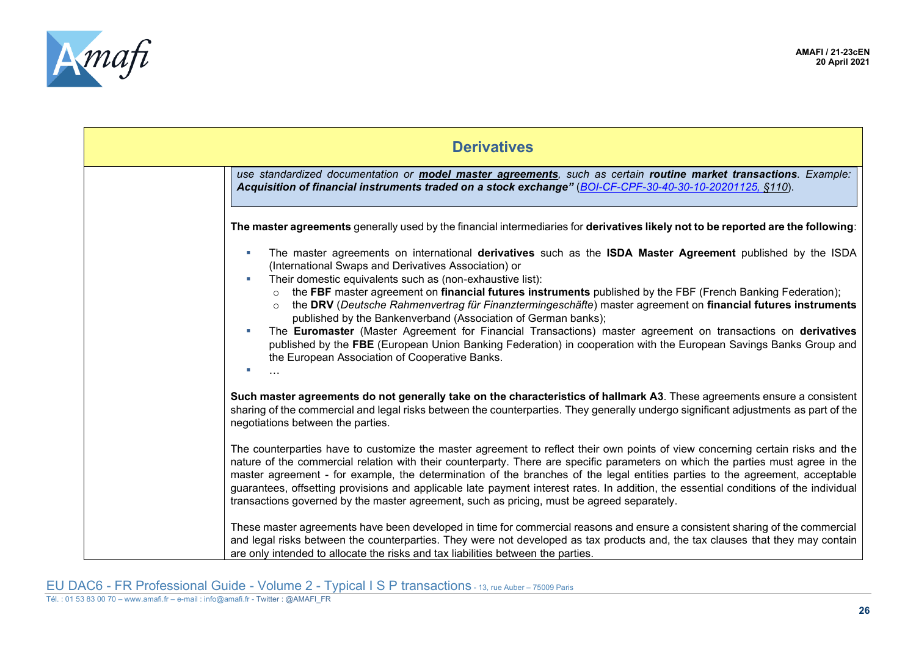

| <b>Derivatives</b>                                                                                                                                                                                                                                                                                                                                                                                                                                                                                                                                                                                                                                                                                                                                                                                                     |  |
|------------------------------------------------------------------------------------------------------------------------------------------------------------------------------------------------------------------------------------------------------------------------------------------------------------------------------------------------------------------------------------------------------------------------------------------------------------------------------------------------------------------------------------------------------------------------------------------------------------------------------------------------------------------------------------------------------------------------------------------------------------------------------------------------------------------------|--|
| use standardized documentation or <b>model master agreements</b> , such as certain routine market transactions. Example:<br>Acquisition of financial instruments traded on a stock exchange" (BOI-CF-CPF-30-40-30-10-20201125, §110).                                                                                                                                                                                                                                                                                                                                                                                                                                                                                                                                                                                  |  |
| The master agreements generally used by the financial intermediaries for derivatives likely not to be reported are the following:                                                                                                                                                                                                                                                                                                                                                                                                                                                                                                                                                                                                                                                                                      |  |
| The master agreements on international derivatives such as the ISDA Master Agreement published by the ISDA<br>(International Swaps and Derivatives Association) or<br>Their domestic equivalents such as (non-exhaustive list):<br>the FBF master agreement on financial futures instruments published by the FBF (French Banking Federation);<br>the DRV (Deutsche Rahmenvertrag für Finanztermingeschäfte) master agreement on financial futures instruments<br>published by the Bankenverband (Association of German banks);<br>The Euromaster (Master Agreement for Financial Transactions) master agreement on transactions on derivatives<br>published by the FBE (European Union Banking Federation) in cooperation with the European Savings Banks Group and<br>the European Association of Cooperative Banks. |  |
| Such master agreements do not generally take on the characteristics of hallmark A3. These agreements ensure a consistent<br>sharing of the commercial and legal risks between the counterparties. They generally undergo significant adjustments as part of the<br>negotiations between the parties.                                                                                                                                                                                                                                                                                                                                                                                                                                                                                                                   |  |
| The counterparties have to customize the master agreement to reflect their own points of view concerning certain risks and the<br>nature of the commercial relation with their counterparty. There are specific parameters on which the parties must agree in the<br>master agreement - for example, the determination of the branches of the legal entities parties to the agreement, acceptable<br>guarantees, offsetting provisions and applicable late payment interest rates. In addition, the essential conditions of the individual<br>transactions governed by the master agreement, such as pricing, must be agreed separately.                                                                                                                                                                               |  |
| These master agreements have been developed in time for commercial reasons and ensure a consistent sharing of the commercial<br>and legal risks between the counterparties. They were not developed as tax products and, the tax clauses that they may contain<br>are only intended to allocate the risks and tax liabilities between the parties.                                                                                                                                                                                                                                                                                                                                                                                                                                                                     |  |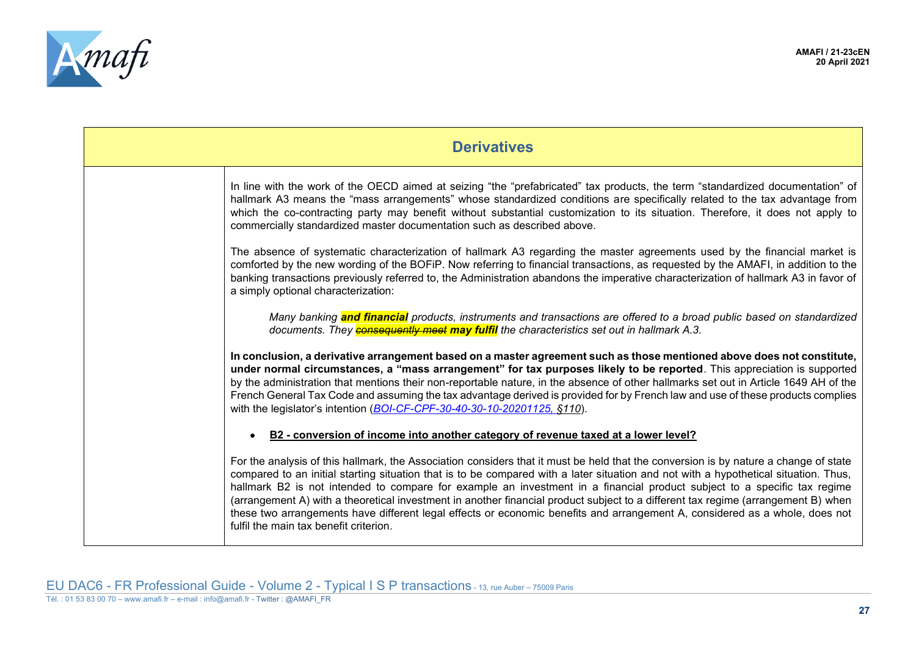

| <b>Derivatives</b> |                                                                                                                                                                                                                                                                                                                                                                                                                                                                                                                                                                                                                                                                                                                        |
|--------------------|------------------------------------------------------------------------------------------------------------------------------------------------------------------------------------------------------------------------------------------------------------------------------------------------------------------------------------------------------------------------------------------------------------------------------------------------------------------------------------------------------------------------------------------------------------------------------------------------------------------------------------------------------------------------------------------------------------------------|
|                    | In line with the work of the OECD aimed at seizing "the "prefabricated" tax products, the term "standardized documentation" of<br>hallmark A3 means the "mass arrangements" whose standardized conditions are specifically related to the tax advantage from<br>which the co-contracting party may benefit without substantial customization to its situation. Therefore, it does not apply to<br>commercially standardized master documentation such as described above.                                                                                                                                                                                                                                              |
|                    | The absence of systematic characterization of hallmark A3 regarding the master agreements used by the financial market is<br>comforted by the new wording of the BOFiP. Now referring to financial transactions, as requested by the AMAFI, in addition to the<br>banking transactions previously referred to, the Administration abandons the imperative characterization of hallmark A3 in favor of<br>a simply optional characterization:                                                                                                                                                                                                                                                                           |
|                    | Many banking <b>and financial</b> products, instruments and transactions are offered to a broad public based on standardized<br>documents. They <b>consequently meet may fulfil</b> the characteristics set out in hallmark A.3.                                                                                                                                                                                                                                                                                                                                                                                                                                                                                       |
|                    | In conclusion, a derivative arrangement based on a master agreement such as those mentioned above does not constitute,<br>under normal circumstances, a "mass arrangement" for tax purposes likely to be reported. This appreciation is supported<br>by the administration that mentions their non-reportable nature, in the absence of other hallmarks set out in Article 1649 AH of the<br>French General Tax Code and assuming the tax advantage derived is provided for by French law and use of these products complies<br>with the legislator's intention (BOI-CF-CPF-30-40-30-10-20201125, §110).                                                                                                               |
|                    | B2 - conversion of income into another category of revenue taxed at a lower level?                                                                                                                                                                                                                                                                                                                                                                                                                                                                                                                                                                                                                                     |
|                    | For the analysis of this hallmark, the Association considers that it must be held that the conversion is by nature a change of state<br>compared to an initial starting situation that is to be compared with a later situation and not with a hypothetical situation. Thus,<br>hallmark B2 is not intended to compare for example an investment in a financial product subject to a specific tax regime<br>(arrangement A) with a theoretical investment in another financial product subject to a different tax regime (arrangement B) when<br>these two arrangements have different legal effects or economic benefits and arrangement A, considered as a whole, does not<br>fulfil the main tax benefit criterion. |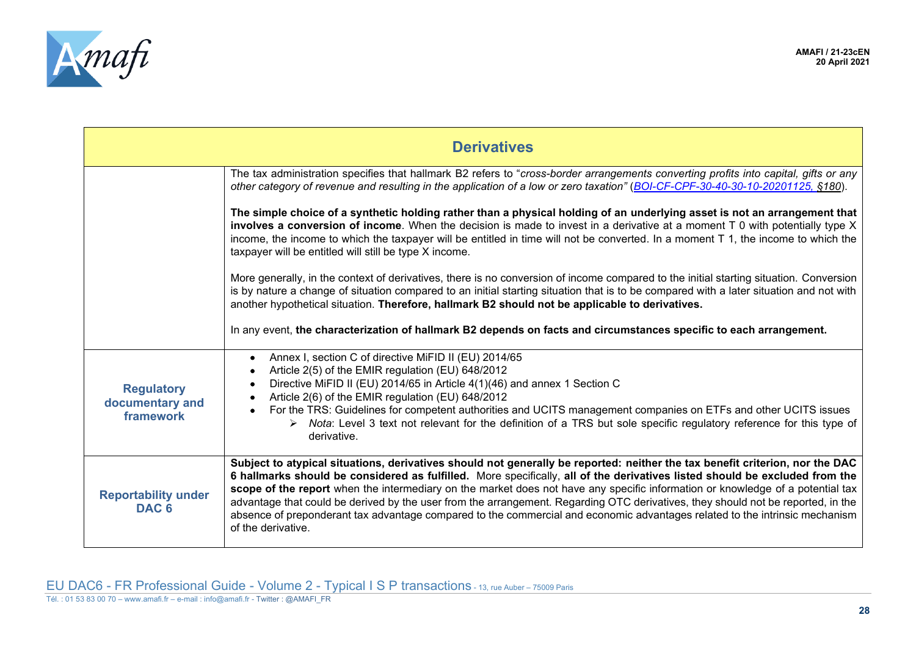

<span id="page-27-1"></span><span id="page-27-0"></span>

| <b>Derivatives</b>                                |                                                                                                                                                                                                                                                                                                                                                                                                                                                                                                                                                                                                                                                                                        |
|---------------------------------------------------|----------------------------------------------------------------------------------------------------------------------------------------------------------------------------------------------------------------------------------------------------------------------------------------------------------------------------------------------------------------------------------------------------------------------------------------------------------------------------------------------------------------------------------------------------------------------------------------------------------------------------------------------------------------------------------------|
|                                                   | The tax administration specifies that hallmark B2 refers to "cross-border arrangements converting profits into capital, gifts or any<br>other category of revenue and resulting in the application of a low or zero taxation" (BOI-CF-CPF-30-40-30-10-20201125, §180).                                                                                                                                                                                                                                                                                                                                                                                                                 |
|                                                   | The simple choice of a synthetic holding rather than a physical holding of an underlying asset is not an arrangement that<br>involves a conversion of income. When the decision is made to invest in a derivative at a moment T 0 with potentially type X<br>income, the income to which the taxpayer will be entitled in time will not be converted. In a moment T 1, the income to which the<br>taxpayer will be entitled will still be type X income.                                                                                                                                                                                                                               |
|                                                   | More generally, in the context of derivatives, there is no conversion of income compared to the initial starting situation. Conversion<br>is by nature a change of situation compared to an initial starting situation that is to be compared with a later situation and not with<br>another hypothetical situation. Therefore, hallmark B2 should not be applicable to derivatives.                                                                                                                                                                                                                                                                                                   |
|                                                   | In any event, the characterization of hallmark B2 depends on facts and circumstances specific to each arrangement.                                                                                                                                                                                                                                                                                                                                                                                                                                                                                                                                                                     |
| <b>Regulatory</b><br>documentary and<br>framework | Annex I, section C of directive MiFID II (EU) 2014/65<br>Article 2(5) of the EMIR regulation (EU) 648/2012<br>Directive MiFID II (EU) 2014/65 in Article 4(1)(46) and annex 1 Section C<br>Article 2(6) of the EMIR regulation (EU) 648/2012<br>For the TRS: Guidelines for competent authorities and UCITS management companies on ETFs and other UCITS issues<br>Nota: Level 3 text not relevant for the definition of a TRS but sole specific regulatory reference for this type of<br>➤<br>derivative.                                                                                                                                                                             |
| <b>Reportability under</b><br>DAC <sub>6</sub>    | Subject to atypical situations, derivatives should not generally be reported: neither the tax benefit criterion, nor the DAC<br>6 hallmarks should be considered as fulfilled. More specifically, all of the derivatives listed should be excluded from the<br>scope of the report when the intermediary on the market does not have any specific information or knowledge of a potential tax<br>advantage that could be derived by the user from the arrangement. Regarding OTC derivatives, they should not be reported, in the<br>absence of preponderant tax advantage compared to the commercial and economic advantages related to the intrinsic mechanism<br>of the derivative. |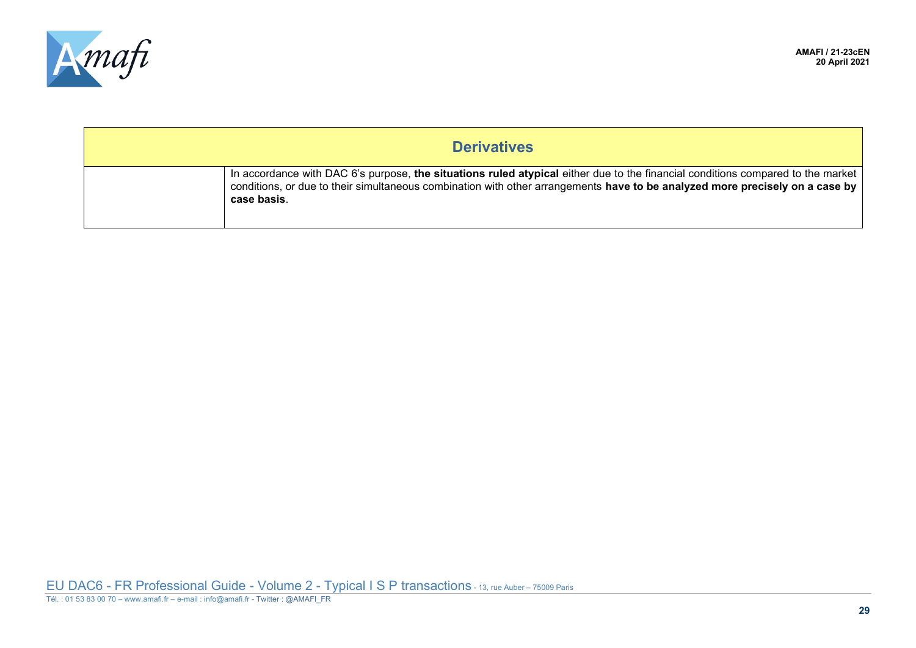

| <b>Derivatives</b> |                                                                                                                                                                                                                                                                                |
|--------------------|--------------------------------------------------------------------------------------------------------------------------------------------------------------------------------------------------------------------------------------------------------------------------------|
|                    | In accordance with DAC 6's purpose, the situations ruled atypical either due to the financial conditions compared to the market<br>conditions, or due to their simultaneous combination with other arrangements have to be analyzed more precisely on a case by<br>case basis. |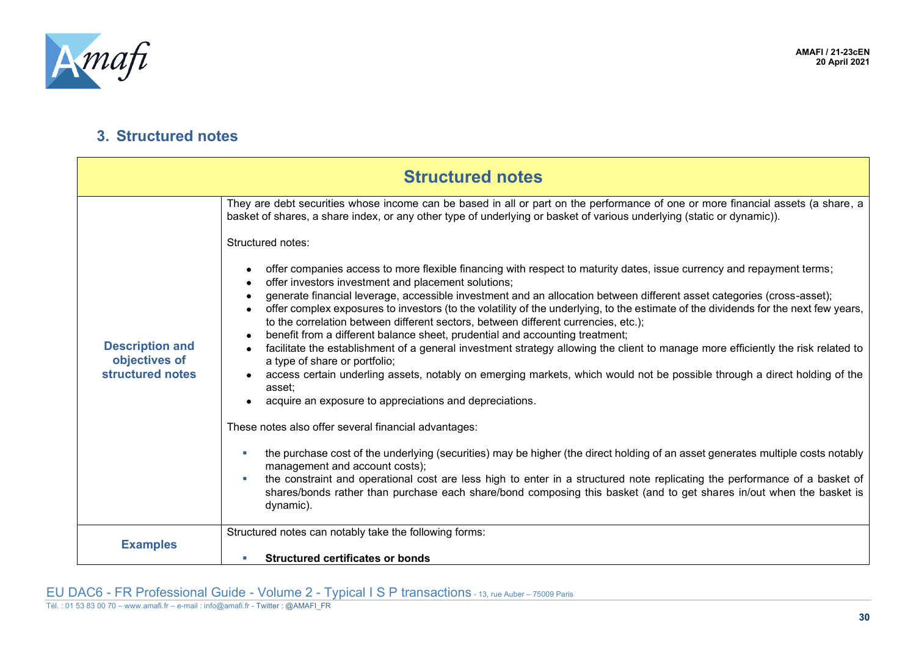

#### **3. Structured notes**

<span id="page-29-2"></span><span id="page-29-1"></span><span id="page-29-0"></span>

| <b>Structured notes</b>                                     |                                                                                                                                                                                                                                                                                                                                                     |
|-------------------------------------------------------------|-----------------------------------------------------------------------------------------------------------------------------------------------------------------------------------------------------------------------------------------------------------------------------------------------------------------------------------------------------|
| <b>Description and</b><br>objectives of<br>structured notes | They are debt securities whose income can be based in all or part on the performance of one or more financial assets (a share, a<br>basket of shares, a share index, or any other type of underlying or basket of various underlying (static or dynamic)).                                                                                          |
|                                                             | Structured notes:                                                                                                                                                                                                                                                                                                                                   |
|                                                             | offer companies access to more flexible financing with respect to maturity dates, issue currency and repayment terms;<br>offer investors investment and placement solutions;                                                                                                                                                                        |
|                                                             | generate financial leverage, accessible investment and an allocation between different asset categories (cross-asset);<br>offer complex exposures to investors (to the volatility of the underlying, to the estimate of the dividends for the next few years,<br>to the correlation between different sectors, between different currencies, etc.); |
|                                                             | benefit from a different balance sheet, prudential and accounting treatment;<br>facilitate the establishment of a general investment strategy allowing the client to manage more efficiently the risk related to                                                                                                                                    |
|                                                             | a type of share or portfolio;<br>access certain underling assets, notably on emerging markets, which would not be possible through a direct holding of the<br>asset:                                                                                                                                                                                |
|                                                             | acquire an exposure to appreciations and depreciations.                                                                                                                                                                                                                                                                                             |
|                                                             | These notes also offer several financial advantages:                                                                                                                                                                                                                                                                                                |
|                                                             | the purchase cost of the underlying (securities) may be higher (the direct holding of an asset generates multiple costs notably<br>٠<br>management and account costs);                                                                                                                                                                              |
|                                                             | the constraint and operational cost are less high to enter in a structured note replicating the performance of a basket of<br>٠<br>shares/bonds rather than purchase each share/bond composing this basket (and to get shares in/out when the basket is<br>dynamic).                                                                                |
| <b>Examples</b>                                             | Structured notes can notably take the following forms:                                                                                                                                                                                                                                                                                              |
|                                                             | <b>Structured certificates or bonds</b><br>n.                                                                                                                                                                                                                                                                                                       |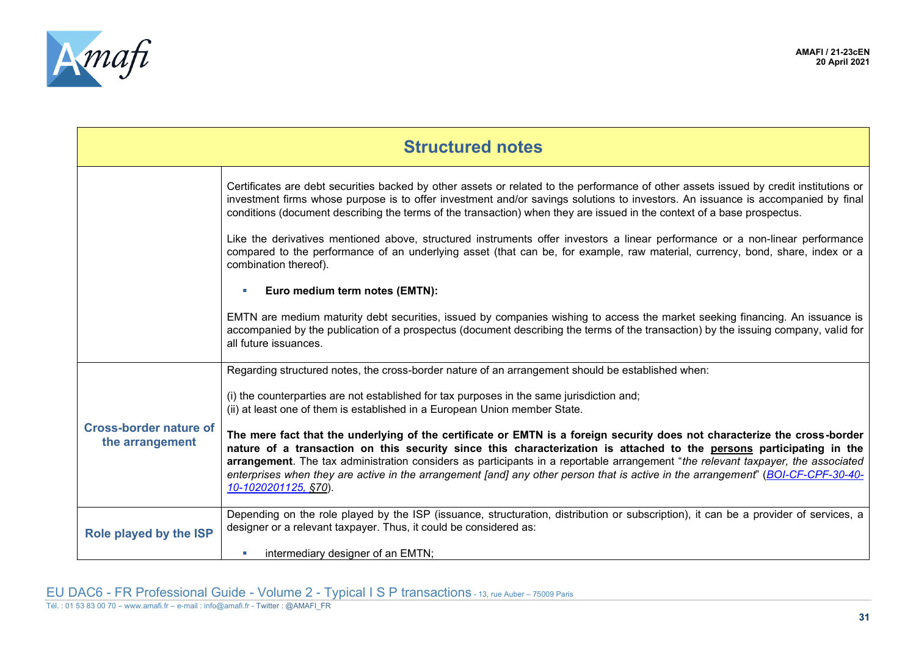

<span id="page-30-1"></span><span id="page-30-0"></span>

| <b>Structured notes</b>                          |                                                                                                                                                                                                                                                                                                                                                                                                                                                                                                                                                   |
|--------------------------------------------------|---------------------------------------------------------------------------------------------------------------------------------------------------------------------------------------------------------------------------------------------------------------------------------------------------------------------------------------------------------------------------------------------------------------------------------------------------------------------------------------------------------------------------------------------------|
|                                                  | Certificates are debt securities backed by other assets or related to the performance of other assets issued by credit institutions or<br>investment firms whose purpose is to offer investment and/or savings solutions to investors. An issuance is accompanied by final<br>conditions (document describing the terms of the transaction) when they are issued in the context of a base prospectus.                                                                                                                                             |
|                                                  | Like the derivatives mentioned above, structured instruments offer investors a linear performance or a non-linear performance<br>compared to the performance of an underlying asset (that can be, for example, raw material, currency, bond, share, index or a<br>combination thereof).                                                                                                                                                                                                                                                           |
|                                                  | Euro medium term notes (EMTN):                                                                                                                                                                                                                                                                                                                                                                                                                                                                                                                    |
|                                                  | EMTN are medium maturity debt securities, issued by companies wishing to access the market seeking financing. An issuance is<br>accompanied by the publication of a prospectus (document describing the terms of the transaction) by the issuing company, valid for<br>all future issuances.                                                                                                                                                                                                                                                      |
| <b>Cross-border nature of</b><br>the arrangement | Regarding structured notes, the cross-border nature of an arrangement should be established when:                                                                                                                                                                                                                                                                                                                                                                                                                                                 |
|                                                  | (i) the counterparties are not established for tax purposes in the same jurisdiction and;<br>(ii) at least one of them is established in a European Union member State.                                                                                                                                                                                                                                                                                                                                                                           |
|                                                  | The mere fact that the underlying of the certificate or EMTN is a foreign security does not characterize the cross-border<br>nature of a transaction on this security since this characterization is attached to the persons participating in the<br>arrangement. The tax administration considers as participants in a reportable arrangement "the relevant taxpayer, the associated<br>enterprises when they are active in the arrangement [and] any other person that is active in the arrangement" (BOI-CF-CPF-30-40-<br>10-1020201125, §70). |
| Role played by the ISP                           | Depending on the role played by the ISP (issuance, structuration, distribution or subscription), it can be a provider of services, a<br>designer or a relevant taxpayer. Thus, it could be considered as:                                                                                                                                                                                                                                                                                                                                         |
|                                                  | intermediary designer of an EMTN;                                                                                                                                                                                                                                                                                                                                                                                                                                                                                                                 |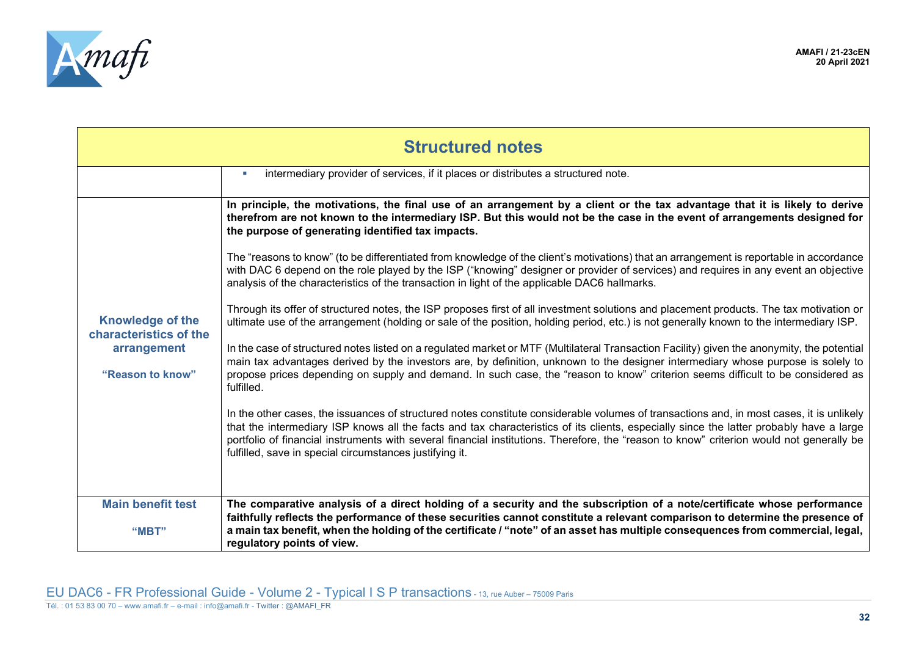

<span id="page-31-1"></span><span id="page-31-0"></span>

| <b>Structured notes</b>                                                              |                                                                                                                                                                                                                                                                                                                                                                                                                                                                                            |
|--------------------------------------------------------------------------------------|--------------------------------------------------------------------------------------------------------------------------------------------------------------------------------------------------------------------------------------------------------------------------------------------------------------------------------------------------------------------------------------------------------------------------------------------------------------------------------------------|
|                                                                                      | intermediary provider of services, if it places or distributes a structured note.                                                                                                                                                                                                                                                                                                                                                                                                          |
| <b>Knowledge of the</b><br>characteristics of the<br>arrangement<br>"Reason to know" | In principle, the motivations, the final use of an arrangement by a client or the tax advantage that it is likely to derive<br>therefrom are not known to the intermediary ISP. But this would not be the case in the event of arrangements designed for<br>the purpose of generating identified tax impacts.                                                                                                                                                                              |
|                                                                                      | The "reasons to know" (to be differentiated from knowledge of the client's motivations) that an arrangement is reportable in accordance<br>with DAC 6 depend on the role played by the ISP ("knowing" designer or provider of services) and requires in any event an objective<br>analysis of the characteristics of the transaction in light of the applicable DAC6 hallmarks.                                                                                                            |
|                                                                                      | Through its offer of structured notes, the ISP proposes first of all investment solutions and placement products. The tax motivation or<br>ultimate use of the arrangement (holding or sale of the position, holding period, etc.) is not generally known to the intermediary ISP.                                                                                                                                                                                                         |
|                                                                                      | In the case of structured notes listed on a regulated market or MTF (Multilateral Transaction Facility) given the anonymity, the potential<br>main tax advantages derived by the investors are, by definition, unknown to the designer intermediary whose purpose is solely to<br>propose prices depending on supply and demand. In such case, the "reason to know" criterion seems difficult to be considered as<br>fulfilled.                                                            |
|                                                                                      | In the other cases, the issuances of structured notes constitute considerable volumes of transactions and, in most cases, it is unlikely<br>that the intermediary ISP knows all the facts and tax characteristics of its clients, especially since the latter probably have a large<br>portfolio of financial instruments with several financial institutions. Therefore, the "reason to know" criterion would not generally be<br>fulfilled, save in special circumstances justifying it. |
| <b>Main benefit test</b>                                                             | The comparative analysis of a direct holding of a security and the subscription of a note/certificate whose performance<br>faithfully reflects the performance of these securities cannot constitute a relevant comparison to determine the presence of                                                                                                                                                                                                                                    |
| "MBT"                                                                                | a main tax benefit, when the holding of the certificate / "note" of an asset has multiple consequences from commercial, legal,<br>regulatory points of view.                                                                                                                                                                                                                                                                                                                               |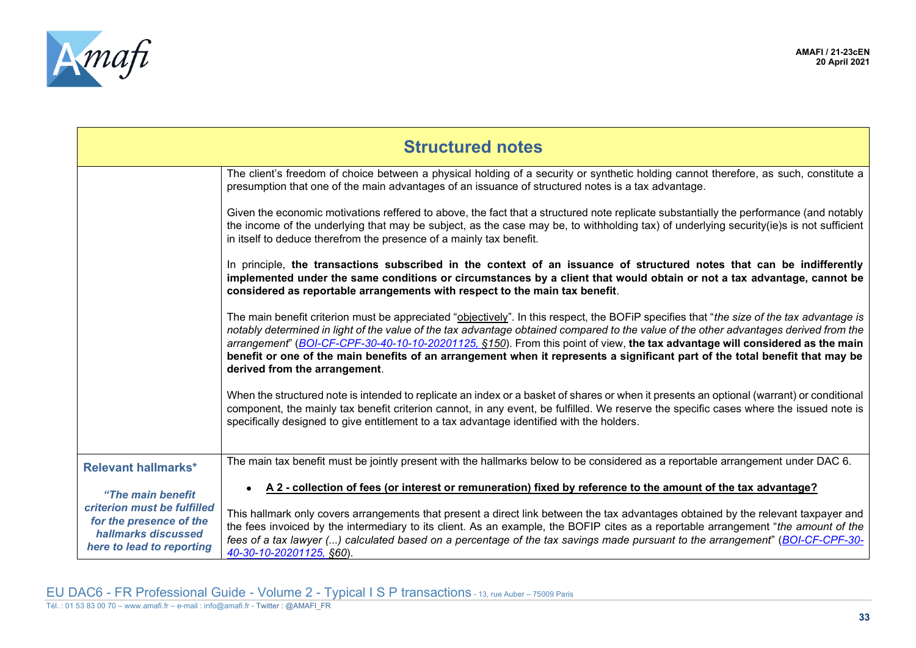

<span id="page-32-0"></span>

| <b>Structured notes</b>                                                                                                         |                                                                                                                                                                                                                                                                                                                                                                                                                                                                                                                                                                                     |
|---------------------------------------------------------------------------------------------------------------------------------|-------------------------------------------------------------------------------------------------------------------------------------------------------------------------------------------------------------------------------------------------------------------------------------------------------------------------------------------------------------------------------------------------------------------------------------------------------------------------------------------------------------------------------------------------------------------------------------|
|                                                                                                                                 | The client's freedom of choice between a physical holding of a security or synthetic holding cannot therefore, as such, constitute a<br>presumption that one of the main advantages of an issuance of structured notes is a tax advantage.                                                                                                                                                                                                                                                                                                                                          |
|                                                                                                                                 | Given the economic motivations reffered to above, the fact that a structured note replicate substantially the performance (and notably<br>the income of the underlying that may be subject, as the case may be, to withholding tax) of underlying security(ie)s is not sufficient<br>in itself to deduce therefrom the presence of a mainly tax benefit.                                                                                                                                                                                                                            |
|                                                                                                                                 | In principle, the transactions subscribed in the context of an issuance of structured notes that can be indifferently<br>implemented under the same conditions or circumstances by a client that would obtain or not a tax advantage, cannot be<br>considered as reportable arrangements with respect to the main tax benefit.                                                                                                                                                                                                                                                      |
|                                                                                                                                 | The main benefit criterion must be appreciated "objectively". In this respect, the BOFiP specifies that "the size of the tax advantage is<br>notably determined in light of the value of the tax advantage obtained compared to the value of the other advantages derived from the<br>arrangement" (BOI-CF-CPF-30-40-10-10-20201125, §150). From this point of view, the tax advantage will considered as the main<br>benefit or one of the main benefits of an arrangement when it represents a significant part of the total benefit that may be<br>derived from the arrangement. |
|                                                                                                                                 | When the structured note is intended to replicate an index or a basket of shares or when it presents an optional (warrant) or conditional<br>component, the mainly tax benefit criterion cannot, in any event, be fulfilled. We reserve the specific cases where the issued note is<br>specifically designed to give entitlement to a tax advantage identified with the holders.                                                                                                                                                                                                    |
| <b>Relevant hallmarks*</b>                                                                                                      | The main tax benefit must be jointly present with the hallmarks below to be considered as a reportable arrangement under DAC 6.                                                                                                                                                                                                                                                                                                                                                                                                                                                     |
| "The main benefit<br>criterion must be fulfilled<br>for the presence of the<br>hallmarks discussed<br>here to lead to reporting | A 2 - collection of fees (or interest or remuneration) fixed by reference to the amount of the tax advantage?<br>This hallmark only covers arrangements that present a direct link between the tax advantages obtained by the relevant taxpayer and<br>the fees invoiced by the intermediary to its client. As an example, the BOFIP cites as a reportable arrangement "the amount of the<br>fees of a tax lawyer () calculated based on a percentage of the tax savings made pursuant to the arrangement" (BOI-CF-CPF-30-<br>40-30-10-20201125, §60).                              |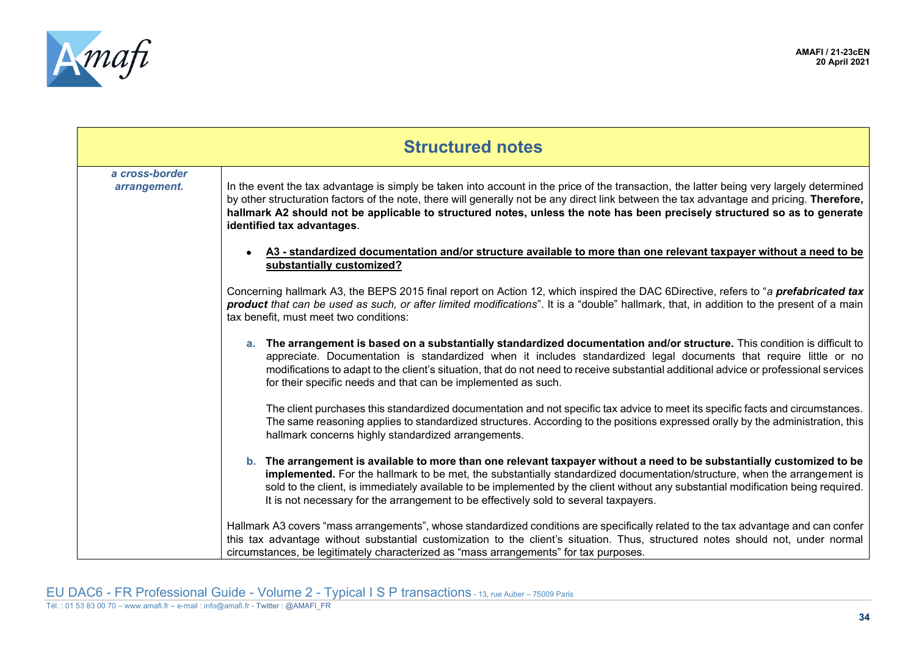

| <b>Structured notes</b>        |                                                                                                                                                                                                                                                                                                                                                                                                                                                                                 |
|--------------------------------|---------------------------------------------------------------------------------------------------------------------------------------------------------------------------------------------------------------------------------------------------------------------------------------------------------------------------------------------------------------------------------------------------------------------------------------------------------------------------------|
| a cross-border<br>arrangement. | In the event the tax advantage is simply be taken into account in the price of the transaction, the latter being very largely determined<br>by other structuration factors of the note, there will generally not be any direct link between the tax advantage and pricing. Therefore,<br>hallmark A2 should not be applicable to structured notes, unless the note has been precisely structured so as to generate<br>identified tax advantages.                                |
|                                | A3 - standardized documentation and/or structure available to more than one relevant taxpayer without a need to be<br>substantially customized?                                                                                                                                                                                                                                                                                                                                 |
|                                | Concerning hallmark A3, the BEPS 2015 final report on Action 12, which inspired the DAC 6Directive, refers to "a prefabricated tax<br>product that can be used as such, or after limited modifications". It is a "double" hallmark, that, in addition to the present of a main<br>tax benefit, must meet two conditions:                                                                                                                                                        |
|                                | a. The arrangement is based on a substantially standardized documentation and/or structure. This condition is difficult to<br>appreciate. Documentation is standardized when it includes standardized legal documents that require little or no<br>modifications to adapt to the client's situation, that do not need to receive substantial additional advice or professional services<br>for their specific needs and that can be implemented as such.                        |
|                                | The client purchases this standardized documentation and not specific tax advice to meet its specific facts and circumstances.<br>The same reasoning applies to standardized structures. According to the positions expressed orally by the administration, this<br>hallmark concerns highly standardized arrangements.                                                                                                                                                         |
|                                | b. The arrangement is available to more than one relevant taxpayer without a need to be substantially customized to be<br>implemented. For the hallmark to be met, the substantially standardized documentation/structure, when the arrangement is<br>sold to the client, is immediately available to be implemented by the client without any substantial modification being required.<br>It is not necessary for the arrangement to be effectively sold to several taxpayers. |
|                                | Hallmark A3 covers "mass arrangements", whose standardized conditions are specifically related to the tax advantage and can confer<br>this tax advantage without substantial customization to the client's situation. Thus, structured notes should not, under normal<br>circumstances, be legitimately characterized as "mass arrangements" for tax purposes.                                                                                                                  |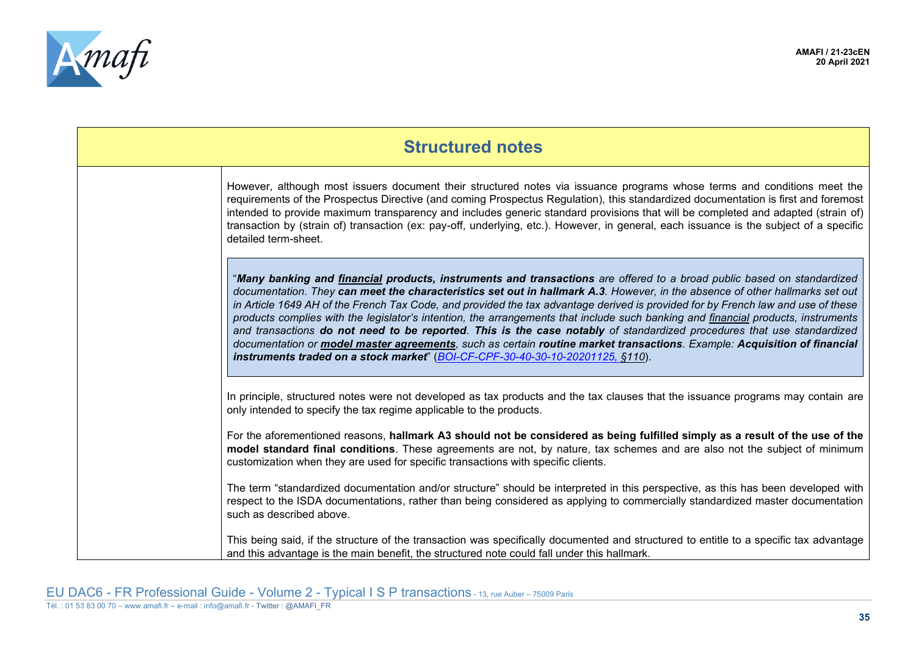

| <b>Structured notes</b> |                                                                                                                                                                                                                                                                                                                                                                                                                                                                                                                                                                                                                                                                                                                                                                                                                                                                         |
|-------------------------|-------------------------------------------------------------------------------------------------------------------------------------------------------------------------------------------------------------------------------------------------------------------------------------------------------------------------------------------------------------------------------------------------------------------------------------------------------------------------------------------------------------------------------------------------------------------------------------------------------------------------------------------------------------------------------------------------------------------------------------------------------------------------------------------------------------------------------------------------------------------------|
|                         | However, although most issuers document their structured notes via issuance programs whose terms and conditions meet the<br>requirements of the Prospectus Directive (and coming Prospectus Regulation), this standardized documentation is first and foremost<br>intended to provide maximum transparency and includes generic standard provisions that will be completed and adapted (strain of)<br>transaction by (strain of) transaction (ex: pay-off, underlying, etc.). However, in general, each issuance is the subject of a specific<br>detailed term-sheet.                                                                                                                                                                                                                                                                                                   |
|                         | "Many banking and financial products, instruments and transactions are offered to a broad public based on standardized<br>documentation. They can meet the characteristics set out in hallmark A.3. However, in the absence of other hallmarks set out<br>in Article 1649 AH of the French Tax Code, and provided the tax advantage derived is provided for by French law and use of these<br>products complies with the legislator's intention, the arrangements that include such banking and financial products, instruments<br>and transactions do not need to be reported. This is the case notably of standardized procedures that use standardized<br>documentation or model master agreements, such as certain routine market transactions. Example: Acquisition of financial<br>instruments traded on a stock market" (BOI-CF-CPF-30-40-30-10-20201125, §110). |
|                         | In principle, structured notes were not developed as tax products and the tax clauses that the issuance programs may contain are<br>only intended to specify the tax regime applicable to the products.                                                                                                                                                                                                                                                                                                                                                                                                                                                                                                                                                                                                                                                                 |
|                         | For the aforementioned reasons, hallmark A3 should not be considered as being fulfilled simply as a result of the use of the<br>model standard final conditions. These agreements are not, by nature, tax schemes and are also not the subject of minimum<br>customization when they are used for specific transactions with specific clients.                                                                                                                                                                                                                                                                                                                                                                                                                                                                                                                          |
|                         | The term "standardized documentation and/or structure" should be interpreted in this perspective, as this has been developed with<br>respect to the ISDA documentations, rather than being considered as applying to commercially standardized master documentation<br>such as described above.                                                                                                                                                                                                                                                                                                                                                                                                                                                                                                                                                                         |
|                         | This being said, if the structure of the transaction was specifically documented and structured to entitle to a specific tax advantage<br>and this advantage is the main benefit, the structured note could fall under this hallmark.                                                                                                                                                                                                                                                                                                                                                                                                                                                                                                                                                                                                                                   |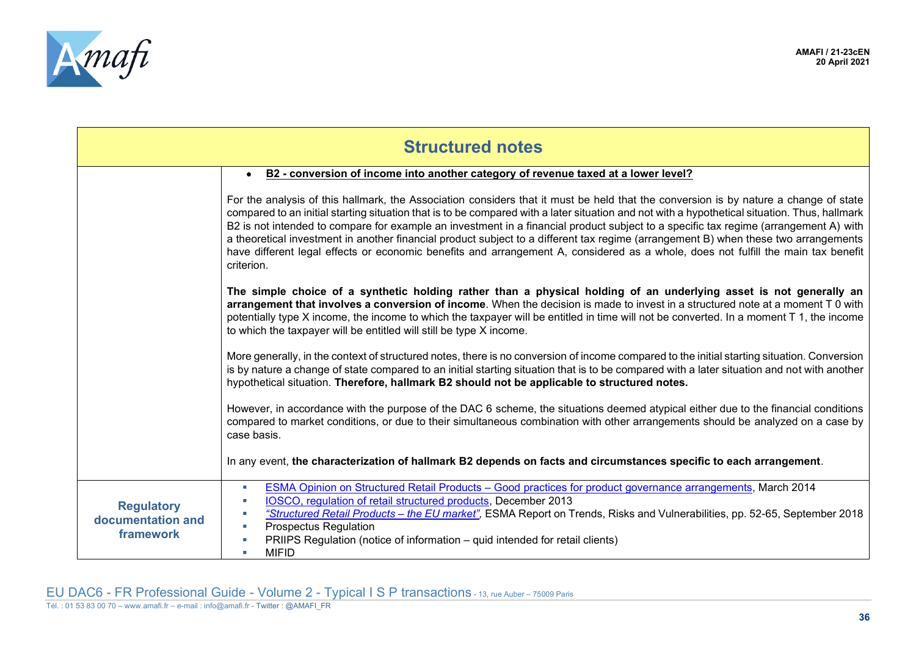

<span id="page-35-0"></span>

| <b>Structured notes</b>                             |                                                                                                                                                                                                                                                                                                                                                                                                                                                                                                                                                                                                                                                                                                                         |  |
|-----------------------------------------------------|-------------------------------------------------------------------------------------------------------------------------------------------------------------------------------------------------------------------------------------------------------------------------------------------------------------------------------------------------------------------------------------------------------------------------------------------------------------------------------------------------------------------------------------------------------------------------------------------------------------------------------------------------------------------------------------------------------------------------|--|
|                                                     | B2 - conversion of income into another category of revenue taxed at a lower level?                                                                                                                                                                                                                                                                                                                                                                                                                                                                                                                                                                                                                                      |  |
|                                                     | For the analysis of this hallmark, the Association considers that it must be held that the conversion is by nature a change of state<br>compared to an initial starting situation that is to be compared with a later situation and not with a hypothetical situation. Thus, hallmark<br>B2 is not intended to compare for example an investment in a financial product subject to a specific tax regime (arrangement A) with<br>a theoretical investment in another financial product subject to a different tax regime (arrangement B) when these two arrangements<br>have different legal effects or economic benefits and arrangement A, considered as a whole, does not fulfill the main tax benefit<br>criterion. |  |
|                                                     | The simple choice of a synthetic holding rather than a physical holding of an underlying asset is not generally an<br>arrangement that involves a conversion of income. When the decision is made to invest in a structured note at a moment T 0 with<br>potentially type X income, the income to which the taxpayer will be entitled in time will not be converted. In a moment T 1, the income<br>to which the taxpayer will be entitled will still be type X income.                                                                                                                                                                                                                                                 |  |
|                                                     | More generally, in the context of structured notes, there is no conversion of income compared to the initial starting situation. Conversion<br>is by nature a change of state compared to an initial starting situation that is to be compared with a later situation and not with another<br>hypothetical situation. Therefore, hallmark B2 should not be applicable to structured notes.                                                                                                                                                                                                                                                                                                                              |  |
|                                                     | However, in accordance with the purpose of the DAC 6 scheme, the situations deemed atypical either due to the financial conditions<br>compared to market conditions, or due to their simultaneous combination with other arrangements should be analyzed on a case by<br>case basis.                                                                                                                                                                                                                                                                                                                                                                                                                                    |  |
|                                                     | In any event, the characterization of hallmark B2 depends on facts and circumstances specific to each arrangement.                                                                                                                                                                                                                                                                                                                                                                                                                                                                                                                                                                                                      |  |
| <b>Regulatory</b><br>documentation and<br>framework | ESMA Opinion on Structured Retail Products - Good practices for product governance arrangements, March 2014<br>٠<br>IOSCO, regulation of retail structured products, December 2013<br>"Structured Retail Products - the EU market", ESMA Report on Trends, Risks and Vulnerabilities, pp. 52-65, September 2018<br><b>Prospectus Regulation</b><br>PRIIPS Regulation (notice of information – quid intended for retail clients)<br><b>MIFID</b>                                                                                                                                                                                                                                                                         |  |